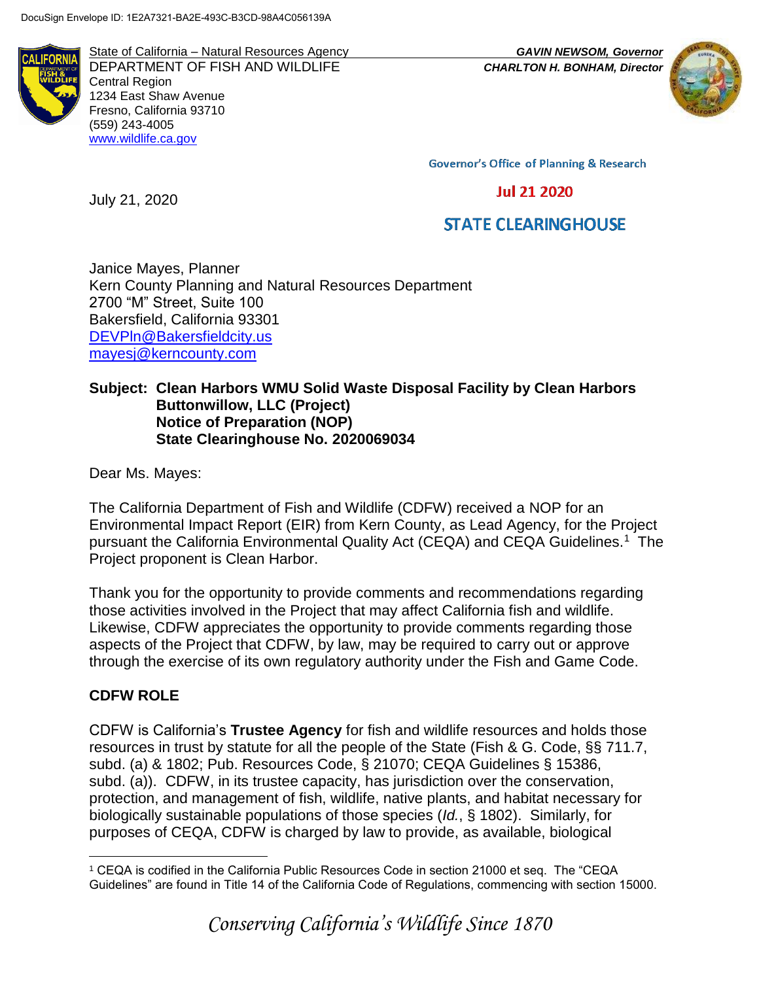

State of California – Natural Resources Agency *GAVIN NEWSOM, Governor* DEPARTMENT OF FISH AND WILDLIFE *CHARLTON H. BONHAM, Director*  Central Region 1234 East Shaw Avenue Fresno, California 93710 (559) 243-4005 [www.wildlife.ca.gov](http://www.wildlife.ca.gov/)



**Governor's Office of Planning & Research** 

# **Jul 21 2020**

# **STATE CLEARINGHOUSE**

Janice Mayes, Planner Kern County Planning and Natural Resources Department 2700 "M" Street, Suite 100 Bakersfield, California 93301 [DEVPln@Bakersfieldcity.us](mailto:DEVPln@Bakersfieldcity.us) [mayesj@kerncounty.com](mailto:mayesj@kerncounty.com)

#### **Subject: Clean Harbors WMU Solid Waste Disposal Facility by Clean Harbors Buttonwillow, LLC (Project) Notice of Preparation (NOP) State Clearinghouse No. 2020069034**

Dear Ms. Mayes:

July 21, 2020

The California Department of Fish and Wildlife (CDFW) received a NOP for an Environmental Impact Report (EIR) from Kern County, as Lead Agency, for the Project pursuant the California Environmental Quality Act (CEQA) and CEQA Guidelines.<sup>1</sup> The Project proponent is Clean Harbor.

Thank you for the opportunity to provide comments and recommendations regarding those activities involved in the Project that may affect California fish and wildlife. Likewise, CDFW appreciates the opportunity to provide comments regarding those aspects of the Project that CDFW, by law, may be required to carry out or approve through the exercise of its own regulatory authority under the Fish and Game Code.

# **CDFW ROLE**

CDFW is California's **Trustee Agency** for fish and wildlife resources and holds those resources in trust by statute for all the people of the State (Fish & G. Code, §§ 711.7, subd. (a) & 1802; Pub. Resources Code, § 21070; CEQA Guidelines § 15386, subd. (a)). CDFW, in its trustee capacity, has jurisdiction over the conservation, protection, and management of fish, wildlife, native plants, and habitat necessary for biologically sustainable populations of those species (*Id.*, § 1802). Similarly, for purposes of CEQA, CDFW is charged by law to provide, as available, biological

 $\overline{a}$ <sup>1</sup> CEQA is codified in the California Public Resources Code in section 21000 et seq. The "CEQA Guidelines" are found in Title 14 of the California Code of Regulations, commencing with section 15000.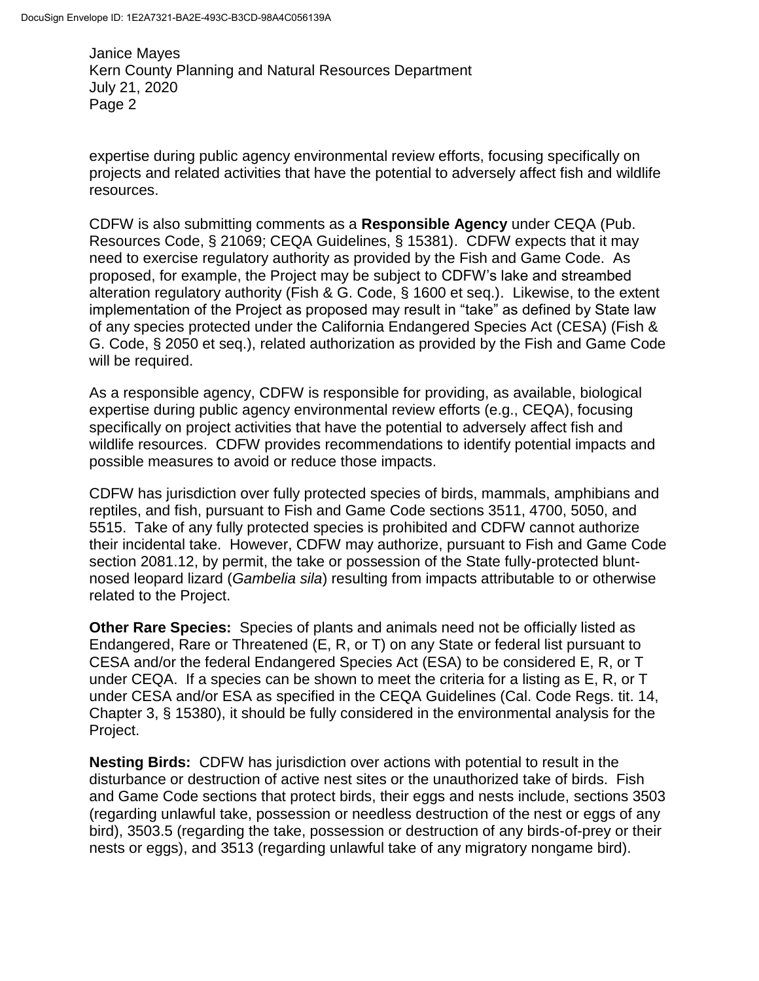expertise during public agency environmental review efforts, focusing specifically on projects and related activities that have the potential to adversely affect fish and wildlife resources.

CDFW is also submitting comments as a **Responsible Agency** under CEQA (Pub. Resources Code, § 21069; CEQA Guidelines, § 15381). CDFW expects that it may need to exercise regulatory authority as provided by the Fish and Game Code. As proposed, for example, the Project may be subject to CDFW's lake and streambed alteration regulatory authority (Fish & G. Code, § 1600 et seq.). Likewise, to the extent implementation of the Project as proposed may result in "take" as defined by State law of any species protected under the California Endangered Species Act (CESA) (Fish & G. Code, § 2050 et seq.), related authorization as provided by the Fish and Game Code will be required.

As a responsible agency, CDFW is responsible for providing, as available, biological expertise during public agency environmental review efforts (e.g., CEQA), focusing specifically on project activities that have the potential to adversely affect fish and wildlife resources. CDFW provides recommendations to identify potential impacts and possible measures to avoid or reduce those impacts.

CDFW has jurisdiction over fully protected species of birds, mammals, amphibians and reptiles, and fish, pursuant to Fish and Game Code sections 3511, 4700, 5050, and 5515. Take of any fully protected species is prohibited and CDFW cannot authorize their incidental take. However, CDFW may authorize, pursuant to Fish and Game Code section 2081.12, by permit, the take or possession of the State fully-protected bluntnosed leopard lizard (*Gambelia sila*) resulting from impacts attributable to or otherwise related to the Project.

**Other Rare Species:** Species of plants and animals need not be officially listed as Endangered, Rare or Threatened (E, R, or T) on any State or federal list pursuant to CESA and/or the federal Endangered Species Act (ESA) to be considered E, R, or T under CEQA. If a species can be shown to meet the criteria for a listing as E, R, or T under CESA and/or ESA as specified in the CEQA Guidelines (Cal. Code Regs. tit. 14, Chapter 3, § 15380), it should be fully considered in the environmental analysis for the Project.

**Nesting Birds:** CDFW has jurisdiction over actions with potential to result in the disturbance or destruction of active nest sites or the unauthorized take of birds. Fish and Game Code sections that protect birds, their eggs and nests include, sections 3503 (regarding unlawful take, possession or needless destruction of the nest or eggs of any bird), 3503.5 (regarding the take, possession or destruction of any birds-of-prey or their nests or eggs), and 3513 (regarding unlawful take of any migratory nongame bird).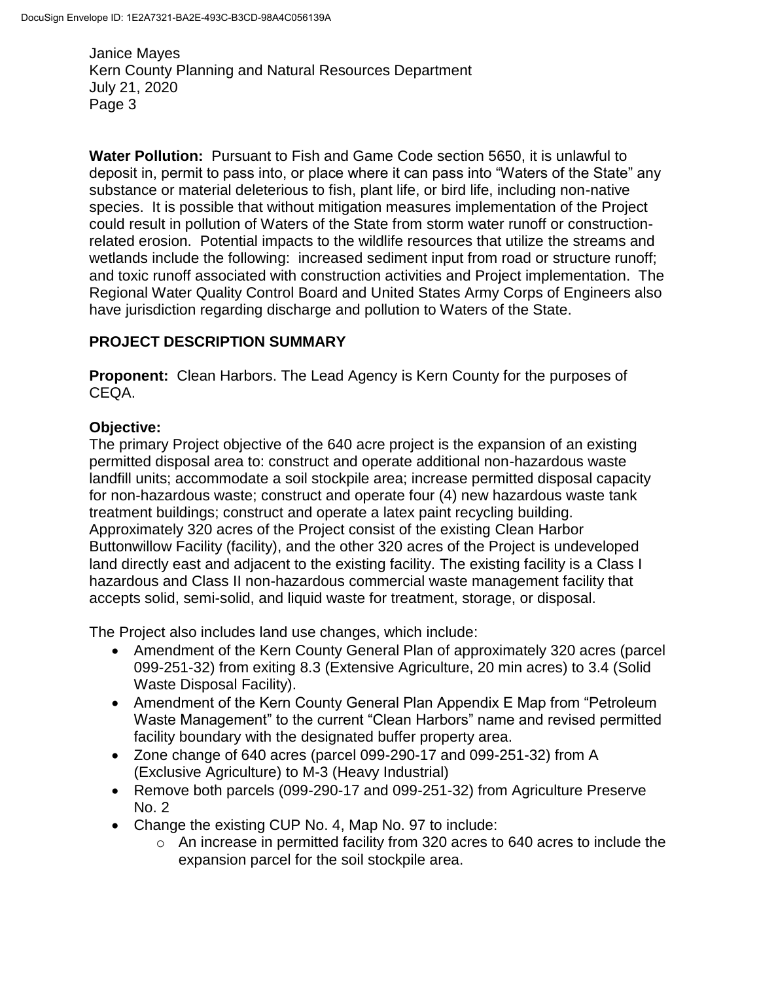**Water Pollution:** Pursuant to Fish and Game Code section 5650, it is unlawful to deposit in, permit to pass into, or place where it can pass into "Waters of the State" any substance or material deleterious to fish, plant life, or bird life, including non-native species. It is possible that without mitigation measures implementation of the Project could result in pollution of Waters of the State from storm water runoff or constructionrelated erosion. Potential impacts to the wildlife resources that utilize the streams and wetlands include the following: increased sediment input from road or structure runoff; and toxic runoff associated with construction activities and Project implementation. The Regional Water Quality Control Board and United States Army Corps of Engineers also have jurisdiction regarding discharge and pollution to Waters of the State.

# **PROJECT DESCRIPTION SUMMARY**

**Proponent:** Clean Harbors. The Lead Agency is Kern County for the purposes of CEQA.

### **Objective:**

The primary Project objective of the 640 acre project is the expansion of an existing permitted disposal area to: construct and operate additional non-hazardous waste landfill units; accommodate a soil stockpile area; increase permitted disposal capacity for non-hazardous waste; construct and operate four (4) new hazardous waste tank treatment buildings; construct and operate a latex paint recycling building. Approximately 320 acres of the Project consist of the existing Clean Harbor Buttonwillow Facility (facility), and the other 320 acres of the Project is undeveloped land directly east and adjacent to the existing facility. The existing facility is a Class I hazardous and Class II non-hazardous commercial waste management facility that accepts solid, semi-solid, and liquid waste for treatment, storage, or disposal.

The Project also includes land use changes, which include:

- Amendment of the Kern County General Plan of approximately 320 acres (parcel 099-251-32) from exiting 8.3 (Extensive Agriculture, 20 min acres) to 3.4 (Solid Waste Disposal Facility).
- Amendment of the Kern County General Plan Appendix E Map from "Petroleum Waste Management" to the current "Clean Harbors" name and revised permitted facility boundary with the designated buffer property area.
- Zone change of 640 acres (parcel 099-290-17 and 099-251-32) from A (Exclusive Agriculture) to M-3 (Heavy Industrial)
- Remove both parcels (099-290-17 and 099-251-32) from Agriculture Preserve No. 2
- Change the existing CUP No. 4, Map No. 97 to include:
	- $\circ$  An increase in permitted facility from 320 acres to 640 acres to include the expansion parcel for the soil stockpile area.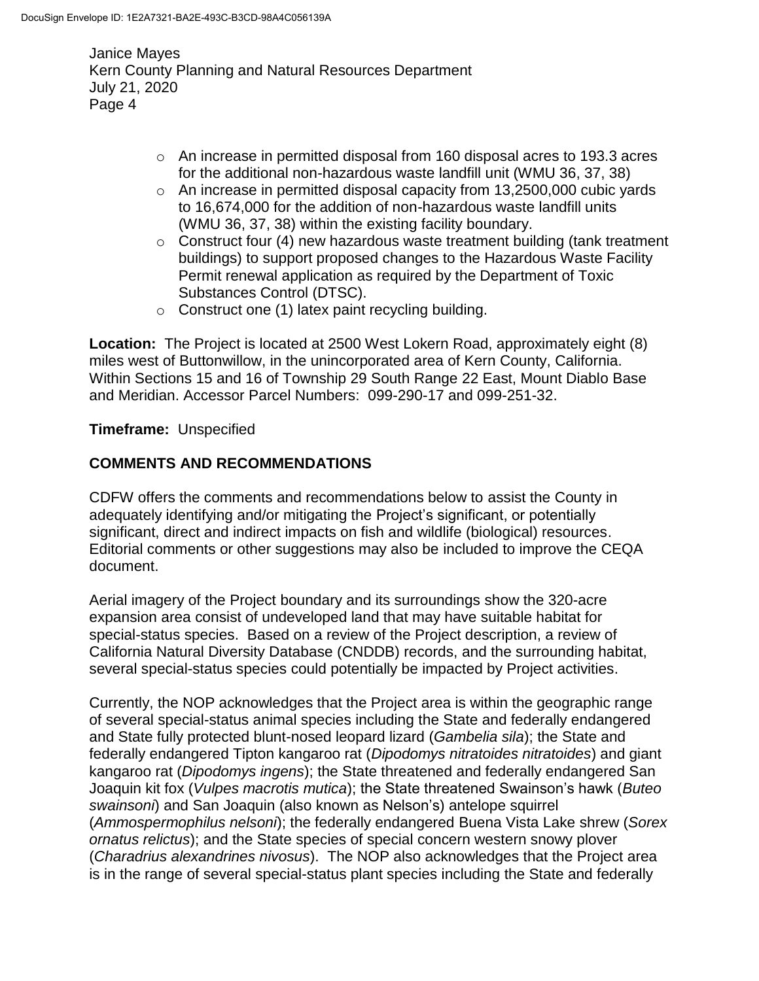- o An increase in permitted disposal from 160 disposal acres to 193.3 acres for the additional non-hazardous waste landfill unit (WMU 36, 37, 38)
- o An increase in permitted disposal capacity from 13,2500,000 cubic yards to 16,674,000 for the addition of non-hazardous waste landfill units (WMU 36, 37, 38) within the existing facility boundary.
- $\circ$  Construct four (4) new hazardous waste treatment building (tank treatment buildings) to support proposed changes to the Hazardous Waste Facility Permit renewal application as required by the Department of Toxic Substances Control (DTSC).
- $\circ$  Construct one (1) latex paint recycling building.

**Location:** The Project is located at 2500 West Lokern Road, approximately eight (8) miles west of Buttonwillow, in the unincorporated area of Kern County, California. Within Sections 15 and 16 of Township 29 South Range 22 East, Mount Diablo Base and Meridian. Accessor Parcel Numbers: 099-290-17 and 099-251-32.

# **Timeframe:** Unspecified

# **COMMENTS AND RECOMMENDATIONS**

CDFW offers the comments and recommendations below to assist the County in adequately identifying and/or mitigating the Project's significant, or potentially significant, direct and indirect impacts on fish and wildlife (biological) resources. Editorial comments or other suggestions may also be included to improve the CEQA document.

Aerial imagery of the Project boundary and its surroundings show the 320-acre expansion area consist of undeveloped land that may have suitable habitat for special-status species. Based on a review of the Project description, a review of California Natural Diversity Database (CNDDB) records, and the surrounding habitat, several special-status species could potentially be impacted by Project activities.

Currently, the NOP acknowledges that the Project area is within the geographic range of several special-status animal species including the State and federally endangered and State fully protected blunt-nosed leopard lizard (*Gambelia sila*); the State and federally endangered Tipton kangaroo rat (*Dipodomys nitratoides nitratoides*) and giant kangaroo rat (*Dipodomys ingens*); the State threatened and federally endangered San Joaquin kit fox (*Vulpes macrotis mutica*); the State threatened Swainson's hawk (*Buteo swainsoni*) and San Joaquin (also known as Nelson's) antelope squirrel (*Ammospermophilus nelsoni*); the federally endangered Buena Vista Lake shrew (*Sorex ornatus relictus*); and the State species of special concern western snowy plover (*Charadrius alexandrines nivosus*). The NOP also acknowledges that the Project area is in the range of several special-status plant species including the State and federally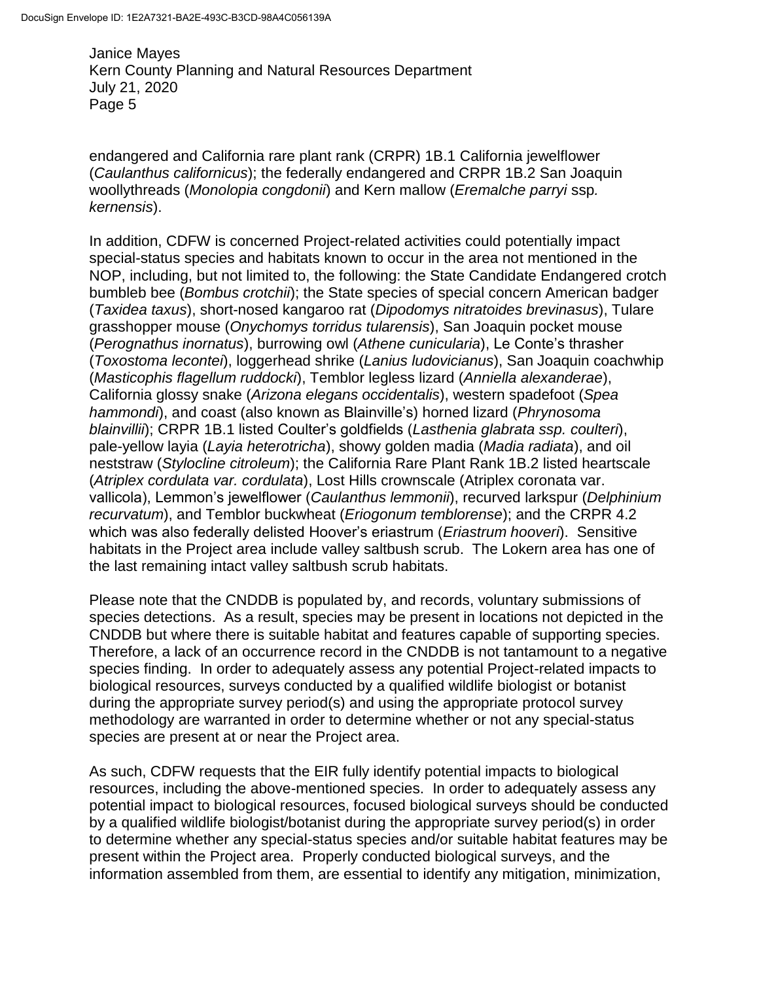endangered and California rare plant rank (CRPR) 1B.1 California jewelflower (*Caulanthus californicus*); the federally endangered and CRPR 1B.2 San Joaquin woollythreads (*Monolopia congdonii*) and Kern mallow (*Eremalche parryi* ssp*. kernensis*).

In addition, CDFW is concerned Project-related activities could potentially impact special-status species and habitats known to occur in the area not mentioned in the NOP, including, but not limited to, the following: the State Candidate Endangered crotch bumbleb bee (*Bombus crotchii*); the State species of special concern American badger (*Taxidea taxus*), short-nosed kangaroo rat (*Dipodomys nitratoides brevinasus*), Tulare grasshopper mouse (*Onychomys torridus tularensis*), San Joaquin pocket mouse (*Perognathus inornatus*), burrowing owl (*Athene cunicularia*), Le Conte's thrasher (*Toxostoma lecontei*), loggerhead shrike (*Lanius ludovicianus*), San Joaquin coachwhip (*Masticophis flagellum ruddocki*), Temblor legless lizard (*Anniella alexanderae*), California glossy snake (*Arizona elegans occidentalis*), western spadefoot (*Spea hammondi*), and coast (also known as Blainville's) horned lizard (*Phrynosoma blainvillii*); CRPR 1B.1 listed Coulter's goldfields (*Lasthenia glabrata ssp. coulteri*), pale-yellow layia (*Layia heterotricha*), showy golden madia (*Madia radiata*), and oil neststraw (*Stylocline citroleum*); the California Rare Plant Rank 1B.2 listed heartscale (*Atriplex cordulata var. cordulata*), Lost Hills crownscale (Atriplex coronata var. vallicola), Lemmon's jewelflower (*Caulanthus lemmonii*), recurved larkspur (*Delphinium recurvatum*), and Temblor buckwheat (*Eriogonum temblorense*); and the CRPR 4.2 which was also federally delisted Hoover's eriastrum (*Eriastrum hooveri*). Sensitive habitats in the Project area include valley saltbush scrub. The Lokern area has one of the last remaining intact valley saltbush scrub habitats.

Please note that the CNDDB is populated by, and records, voluntary submissions of species detections. As a result, species may be present in locations not depicted in the CNDDB but where there is suitable habitat and features capable of supporting species. Therefore, a lack of an occurrence record in the CNDDB is not tantamount to a negative species finding. In order to adequately assess any potential Project-related impacts to biological resources, surveys conducted by a qualified wildlife biologist or botanist during the appropriate survey period(s) and using the appropriate protocol survey methodology are warranted in order to determine whether or not any special-status species are present at or near the Project area.

As such, CDFW requests that the EIR fully identify potential impacts to biological resources, including the above-mentioned species. In order to adequately assess any potential impact to biological resources, focused biological surveys should be conducted by a qualified wildlife biologist/botanist during the appropriate survey period(s) in order to determine whether any special-status species and/or suitable habitat features may be present within the Project area. Properly conducted biological surveys, and the information assembled from them, are essential to identify any mitigation, minimization,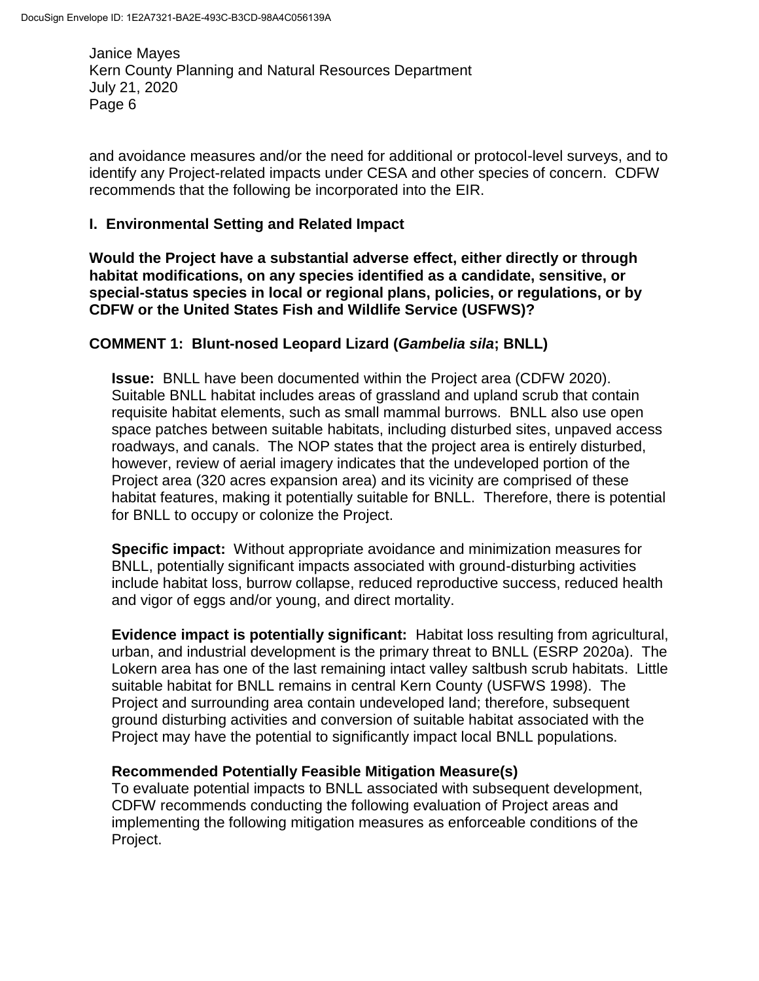and avoidance measures and/or the need for additional or protocol-level surveys, and to identify any Project-related impacts under CESA and other species of concern. CDFW recommends that the following be incorporated into the EIR.

### **I. Environmental Setting and Related Impact**

**Would the Project have a substantial adverse effect, either directly or through habitat modifications, on any species identified as a candidate, sensitive, or special-status species in local or regional plans, policies, or regulations, or by CDFW or the United States Fish and Wildlife Service (USFWS)?** 

### **COMMENT 1: Blunt-nosed Leopard Lizard (***Gambelia sila***; BNLL)**

**Issue:** BNLL have been documented within the Project area (CDFW 2020). Suitable BNLL habitat includes areas of grassland and upland scrub that contain requisite habitat elements, such as small mammal burrows. BNLL also use open space patches between suitable habitats, including disturbed sites, unpaved access roadways, and canals. The NOP states that the project area is entirely disturbed, however, review of aerial imagery indicates that the undeveloped portion of the Project area (320 acres expansion area) and its vicinity are comprised of these habitat features, making it potentially suitable for BNLL. Therefore, there is potential for BNLL to occupy or colonize the Project.

**Specific impact:** Without appropriate avoidance and minimization measures for BNLL, potentially significant impacts associated with ground-disturbing activities include habitat loss, burrow collapse, reduced reproductive success, reduced health and vigor of eggs and/or young, and direct mortality.

**Evidence impact is potentially significant:** Habitat loss resulting from agricultural, urban, and industrial development is the primary threat to BNLL (ESRP 2020a). The Lokern area has one of the last remaining intact valley saltbush scrub habitats. Little suitable habitat for BNLL remains in central Kern County (USFWS 1998). The Project and surrounding area contain undeveloped land; therefore, subsequent ground disturbing activities and conversion of suitable habitat associated with the Project may have the potential to significantly impact local BNLL populations.

#### **Recommended Potentially Feasible Mitigation Measure(s)**

To evaluate potential impacts to BNLL associated with subsequent development, CDFW recommends conducting the following evaluation of Project areas and implementing the following mitigation measures as enforceable conditions of the Project.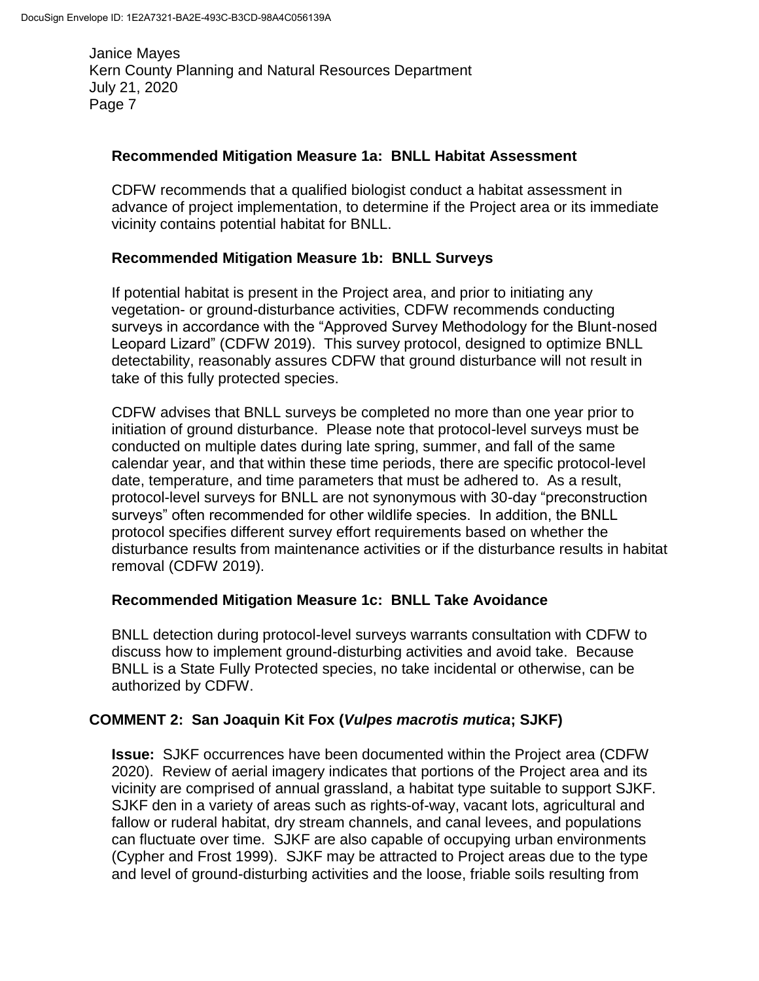#### **Recommended Mitigation Measure 1a: BNLL Habitat Assessment**

CDFW recommends that a qualified biologist conduct a habitat assessment in advance of project implementation, to determine if the Project area or its immediate vicinity contains potential habitat for BNLL.

### **Recommended Mitigation Measure 1b: BNLL Surveys**

If potential habitat is present in the Project area, and prior to initiating any vegetation- or ground-disturbance activities, CDFW recommends conducting surveys in accordance with the "Approved Survey Methodology for the Blunt-nosed Leopard Lizard" (CDFW 2019). This survey protocol, designed to optimize BNLL detectability, reasonably assures CDFW that ground disturbance will not result in take of this fully protected species.

CDFW advises that BNLL surveys be completed no more than one year prior to initiation of ground disturbance. Please note that protocol-level surveys must be conducted on multiple dates during late spring, summer, and fall of the same calendar year, and that within these time periods, there are specific protocol-level date, temperature, and time parameters that must be adhered to. As a result, protocol-level surveys for BNLL are not synonymous with 30-day "preconstruction surveys" often recommended for other wildlife species. In addition, the BNLL protocol specifies different survey effort requirements based on whether the disturbance results from maintenance activities or if the disturbance results in habitat removal (CDFW 2019).

#### **Recommended Mitigation Measure 1c: BNLL Take Avoidance**

BNLL detection during protocol-level surveys warrants consultation with CDFW to discuss how to implement ground-disturbing activities and avoid take. Because BNLL is a State Fully Protected species, no take incidental or otherwise, can be authorized by CDFW.

### **COMMENT 2: San Joaquin Kit Fox (***Vulpes macrotis mutica***; SJKF)**

**Issue:** SJKF occurrences have been documented within the Project area (CDFW 2020). Review of aerial imagery indicates that portions of the Project area and its vicinity are comprised of annual grassland, a habitat type suitable to support SJKF. SJKF den in a variety of areas such as rights-of-way, vacant lots, agricultural and fallow or ruderal habitat, dry stream channels, and canal levees, and populations can fluctuate over time. SJKF are also capable of occupying urban environments (Cypher and Frost 1999). SJKF may be attracted to Project areas due to the type and level of ground-disturbing activities and the loose, friable soils resulting from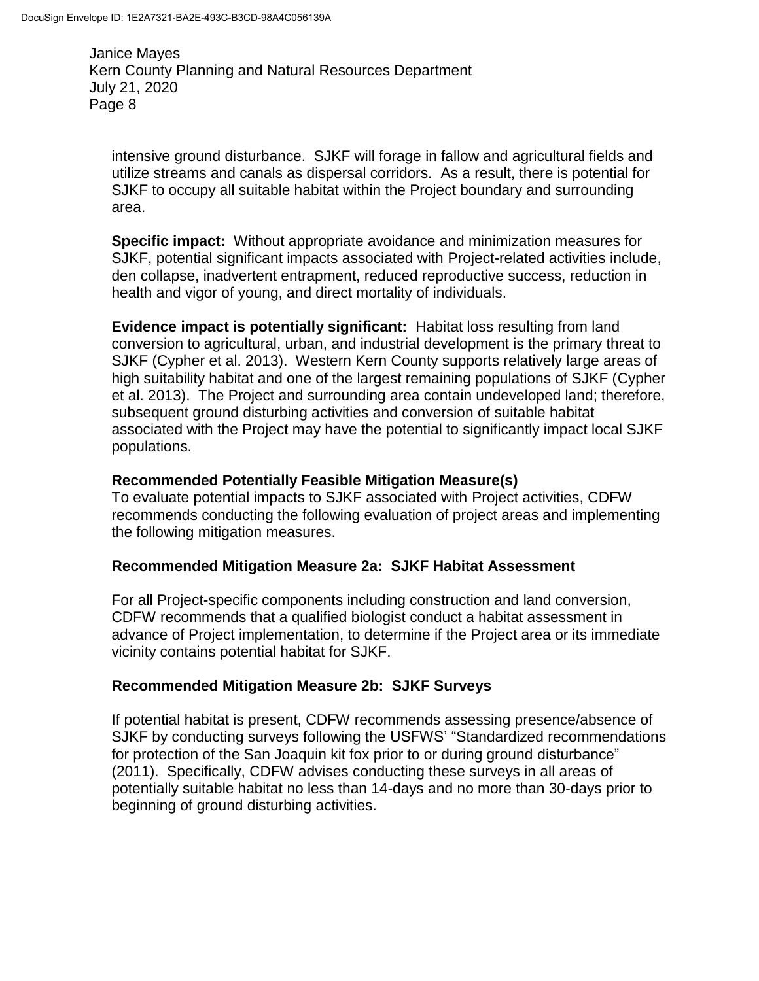intensive ground disturbance. SJKF will forage in fallow and agricultural fields and utilize streams and canals as dispersal corridors. As a result, there is potential for SJKF to occupy all suitable habitat within the Project boundary and surrounding area.

**Specific impact:** Without appropriate avoidance and minimization measures for SJKF, potential significant impacts associated with Project-related activities include, den collapse, inadvertent entrapment, reduced reproductive success, reduction in health and vigor of young, and direct mortality of individuals.

**Evidence impact is potentially significant:** Habitat loss resulting from land conversion to agricultural, urban, and industrial development is the primary threat to SJKF (Cypher et al. 2013). Western Kern County supports relatively large areas of high suitability habitat and one of the largest remaining populations of SJKF (Cypher et al. 2013). The Project and surrounding area contain undeveloped land; therefore, subsequent ground disturbing activities and conversion of suitable habitat associated with the Project may have the potential to significantly impact local SJKF populations.

### **Recommended Potentially Feasible Mitigation Measure(s)**

To evaluate potential impacts to SJKF associated with Project activities, CDFW recommends conducting the following evaluation of project areas and implementing the following mitigation measures.

### **Recommended Mitigation Measure 2a: SJKF Habitat Assessment**

For all Project-specific components including construction and land conversion, CDFW recommends that a qualified biologist conduct a habitat assessment in advance of Project implementation, to determine if the Project area or its immediate vicinity contains potential habitat for SJKF.

#### **Recommended Mitigation Measure 2b: SJKF Surveys**

If potential habitat is present, CDFW recommends assessing presence/absence of SJKF by conducting surveys following the USFWS' "Standardized recommendations for protection of the San Joaquin kit fox prior to or during ground disturbance" (2011). Specifically, CDFW advises conducting these surveys in all areas of potentially suitable habitat no less than 14-days and no more than 30-days prior to beginning of ground disturbing activities.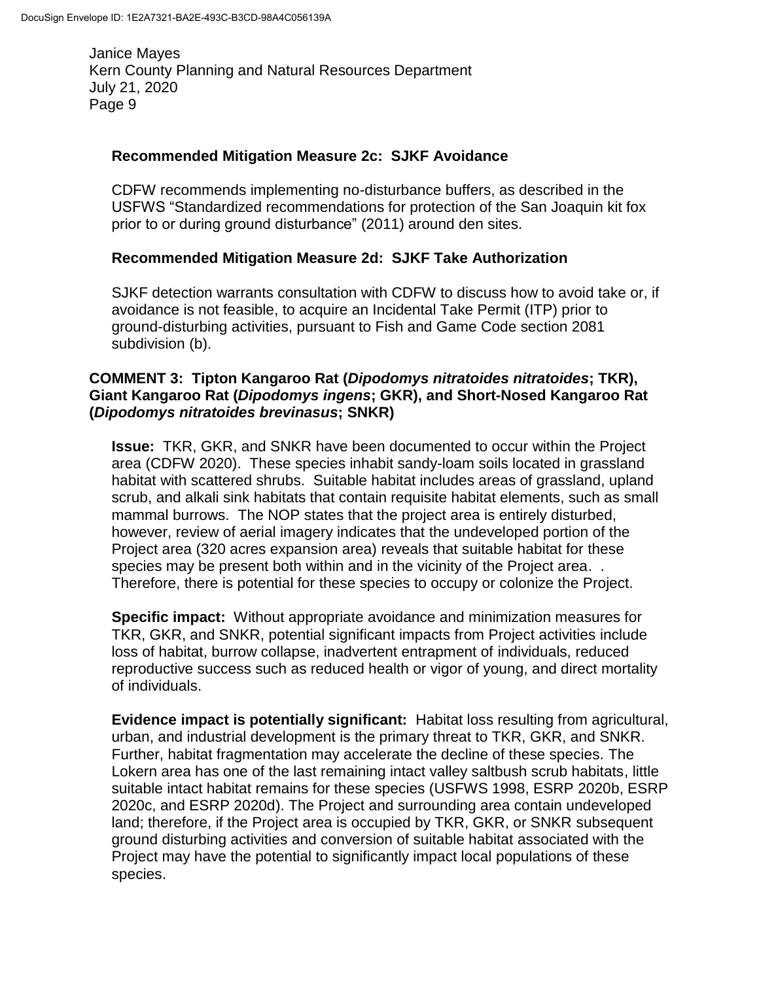#### **Recommended Mitigation Measure 2c: SJKF Avoidance**

CDFW recommends implementing no-disturbance buffers, as described in the USFWS "Standardized recommendations for protection of the San Joaquin kit fox prior to or during ground disturbance" (2011) around den sites.

### **Recommended Mitigation Measure 2d: SJKF Take Authorization**

SJKF detection warrants consultation with CDFW to discuss how to avoid take or, if avoidance is not feasible, to acquire an Incidental Take Permit (ITP) prior to ground-disturbing activities, pursuant to Fish and Game Code section 2081 subdivision (b).

#### **COMMENT 3: Tipton Kangaroo Rat (***Dipodomys nitratoides nitratoides***; TKR), Giant Kangaroo Rat (***Dipodomys ingens***; GKR), and Short-Nosed Kangaroo Rat (***Dipodomys nitratoides brevinasus***; SNKR)**

**Issue:** TKR, GKR, and SNKR have been documented to occur within the Project area (CDFW 2020). These species inhabit sandy-loam soils located in grassland habitat with scattered shrubs. Suitable habitat includes areas of grassland, upland scrub, and alkali sink habitats that contain requisite habitat elements, such as small mammal burrows. The NOP states that the project area is entirely disturbed, however, review of aerial imagery indicates that the undeveloped portion of the Project area (320 acres expansion area) reveals that suitable habitat for these species may be present both within and in the vicinity of the Project area. . Therefore, there is potential for these species to occupy or colonize the Project.

**Specific impact:** Without appropriate avoidance and minimization measures for TKR, GKR, and SNKR, potential significant impacts from Project activities include loss of habitat, burrow collapse, inadvertent entrapment of individuals, reduced reproductive success such as reduced health or vigor of young, and direct mortality of individuals.

**Evidence impact is potentially significant:** Habitat loss resulting from agricultural, urban, and industrial development is the primary threat to TKR, GKR, and SNKR. Further, habitat fragmentation may accelerate the decline of these species. The Lokern area has one of the last remaining intact valley saltbush scrub habitats, little suitable intact habitat remains for these species (USFWS 1998, ESRP 2020b, ESRP 2020c, and ESRP 2020d). The Project and surrounding area contain undeveloped land; therefore, if the Project area is occupied by TKR, GKR, or SNKR subsequent ground disturbing activities and conversion of suitable habitat associated with the Project may have the potential to significantly impact local populations of these species.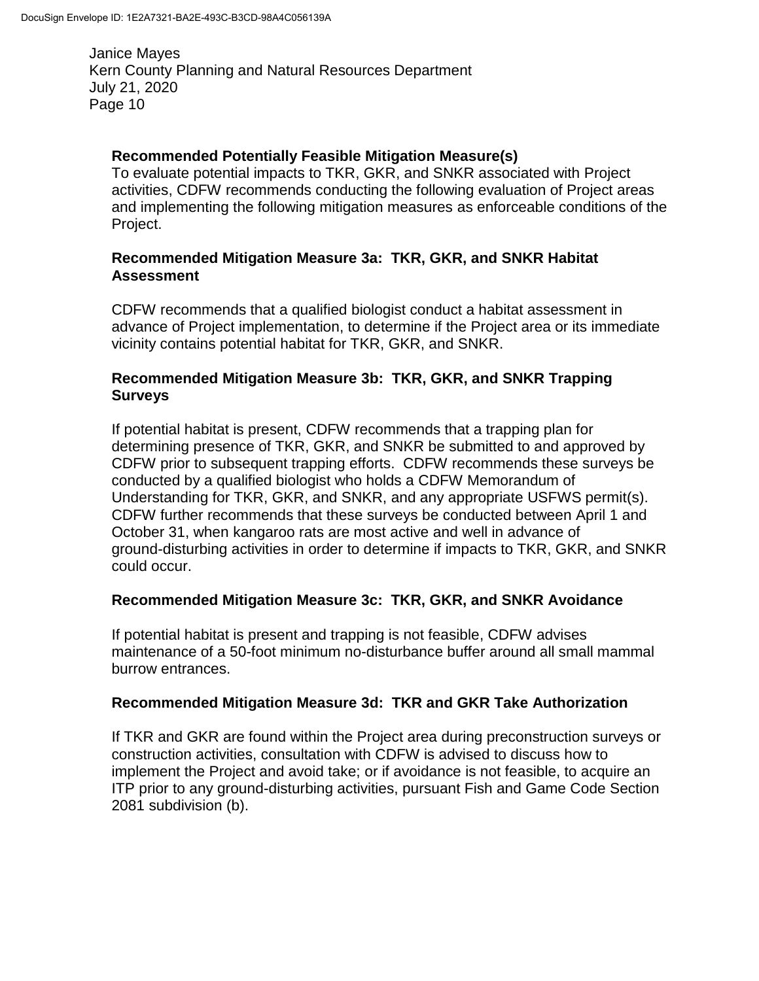### **Recommended Potentially Feasible Mitigation Measure(s)**

To evaluate potential impacts to TKR, GKR, and SNKR associated with Project activities, CDFW recommends conducting the following evaluation of Project areas and implementing the following mitigation measures as enforceable conditions of the Project.

#### **Recommended Mitigation Measure 3a: TKR, GKR, and SNKR Habitat Assessment**

CDFW recommends that a qualified biologist conduct a habitat assessment in advance of Project implementation, to determine if the Project area or its immediate vicinity contains potential habitat for TKR, GKR, and SNKR.

### **Recommended Mitigation Measure 3b: TKR, GKR, and SNKR Trapping Surveys**

If potential habitat is present, CDFW recommends that a trapping plan for determining presence of TKR, GKR, and SNKR be submitted to and approved by CDFW prior to subsequent trapping efforts. CDFW recommends these surveys be conducted by a qualified biologist who holds a CDFW Memorandum of Understanding for TKR, GKR, and SNKR, and any appropriate USFWS permit(s). CDFW further recommends that these surveys be conducted between April 1 and October 31, when kangaroo rats are most active and well in advance of ground-disturbing activities in order to determine if impacts to TKR, GKR, and SNKR could occur.

### **Recommended Mitigation Measure 3c: TKR, GKR, and SNKR Avoidance**

If potential habitat is present and trapping is not feasible, CDFW advises maintenance of a 50-foot minimum no-disturbance buffer around all small mammal burrow entrances.

#### **Recommended Mitigation Measure 3d: TKR and GKR Take Authorization**

If TKR and GKR are found within the Project area during preconstruction surveys or construction activities, consultation with CDFW is advised to discuss how to implement the Project and avoid take; or if avoidance is not feasible, to acquire an ITP prior to any ground-disturbing activities, pursuant Fish and Game Code Section 2081 subdivision (b).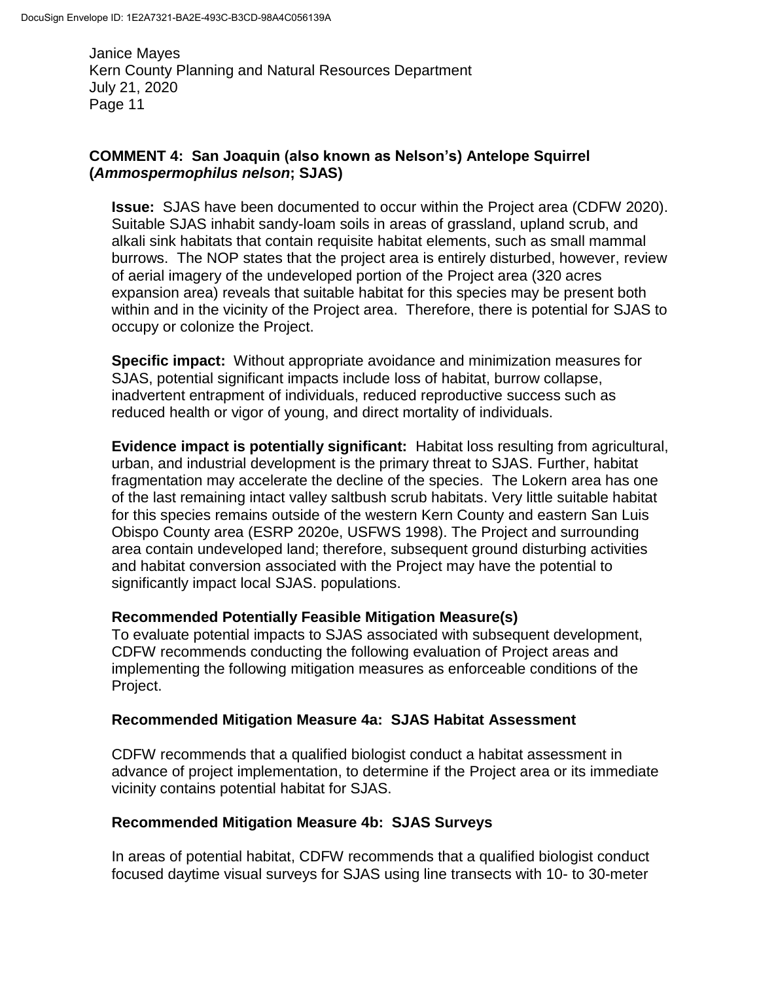# **COMMENT 4: San Joaquin (also known as Nelson's) Antelope Squirrel (***Ammospermophilus nelson***; SJAS)**

**Issue:** SJAS have been documented to occur within the Project area (CDFW 2020). Suitable SJAS inhabit sandy-loam soils in areas of grassland, upland scrub, and alkali sink habitats that contain requisite habitat elements, such as small mammal burrows. The NOP states that the project area is entirely disturbed, however, review of aerial imagery of the undeveloped portion of the Project area (320 acres expansion area) reveals that suitable habitat for this species may be present both within and in the vicinity of the Project area. Therefore, there is potential for SJAS to occupy or colonize the Project.

**Specific impact:** Without appropriate avoidance and minimization measures for SJAS, potential significant impacts include loss of habitat, burrow collapse, inadvertent entrapment of individuals, reduced reproductive success such as reduced health or vigor of young, and direct mortality of individuals.

**Evidence impact is potentially significant:** Habitat loss resulting from agricultural, urban, and industrial development is the primary threat to SJAS. Further, habitat fragmentation may accelerate the decline of the species. The Lokern area has one of the last remaining intact valley saltbush scrub habitats. Very little suitable habitat for this species remains outside of the western Kern County and eastern San Luis Obispo County area (ESRP 2020e, USFWS 1998). The Project and surrounding area contain undeveloped land; therefore, subsequent ground disturbing activities and habitat conversion associated with the Project may have the potential to significantly impact local SJAS. populations.

### **Recommended Potentially Feasible Mitigation Measure(s)**

To evaluate potential impacts to SJAS associated with subsequent development, CDFW recommends conducting the following evaluation of Project areas and implementing the following mitigation measures as enforceable conditions of the Project.

# **Recommended Mitigation Measure 4a: SJAS Habitat Assessment**

CDFW recommends that a qualified biologist conduct a habitat assessment in advance of project implementation, to determine if the Project area or its immediate vicinity contains potential habitat for SJAS.

### **Recommended Mitigation Measure 4b: SJAS Surveys**

In areas of potential habitat, CDFW recommends that a qualified biologist conduct focused daytime visual surveys for SJAS using line transects with 10- to 30-meter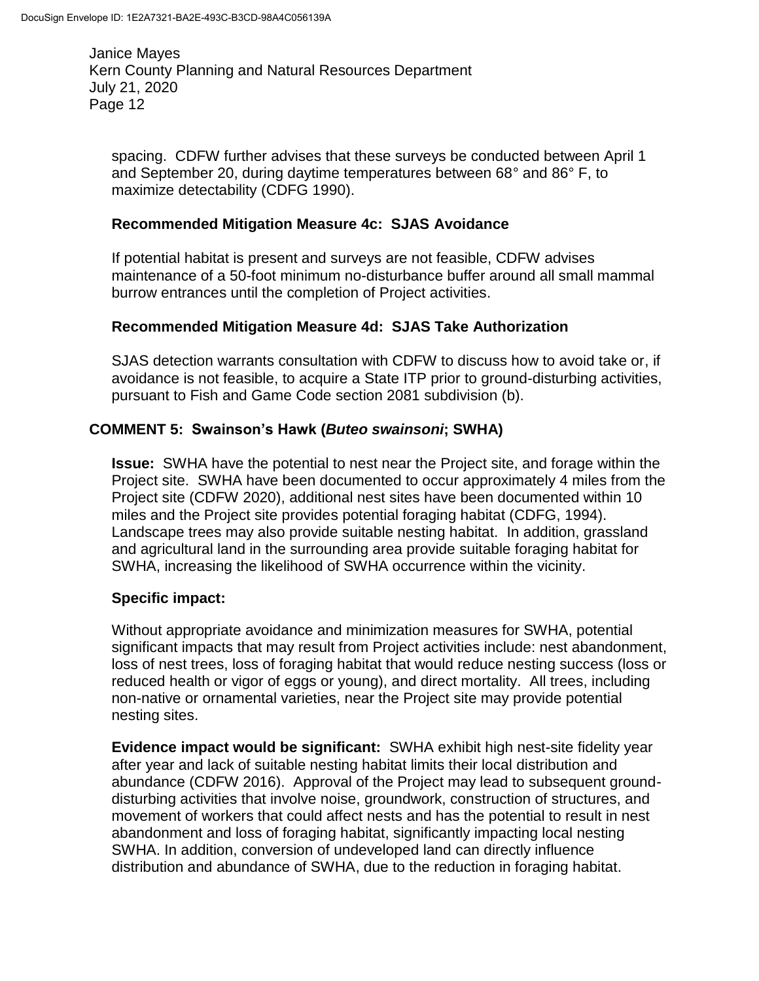spacing. CDFW further advises that these surveys be conducted between April 1 and September 20, during daytime temperatures between 68° and 86° F, to maximize detectability (CDFG 1990).

#### **Recommended Mitigation Measure 4c: SJAS Avoidance**

If potential habitat is present and surveys are not feasible, CDFW advises maintenance of a 50-foot minimum no-disturbance buffer around all small mammal burrow entrances until the completion of Project activities.

### **Recommended Mitigation Measure 4d: SJAS Take Authorization**

SJAS detection warrants consultation with CDFW to discuss how to avoid take or, if avoidance is not feasible, to acquire a State ITP prior to ground-disturbing activities, pursuant to Fish and Game Code section 2081 subdivision (b).

### **COMMENT 5: Swainson's Hawk (***Buteo swainsoni***; SWHA)**

**Issue:** SWHA have the potential to nest near the Project site, and forage within the Project site. SWHA have been documented to occur approximately 4 miles from the Project site (CDFW 2020), additional nest sites have been documented within 10 miles and the Project site provides potential foraging habitat (CDFG, 1994). Landscape trees may also provide suitable nesting habitat. In addition, grassland and agricultural land in the surrounding area provide suitable foraging habitat for SWHA, increasing the likelihood of SWHA occurrence within the vicinity.

### **Specific impact:**

Without appropriate avoidance and minimization measures for SWHA, potential significant impacts that may result from Project activities include: nest abandonment, loss of nest trees, loss of foraging habitat that would reduce nesting success (loss or reduced health or vigor of eggs or young), and direct mortality. All trees, including non-native or ornamental varieties, near the Project site may provide potential nesting sites.

**Evidence impact would be significant:** SWHA exhibit high nest-site fidelity year after year and lack of suitable nesting habitat limits their local distribution and abundance (CDFW 2016). Approval of the Project may lead to subsequent grounddisturbing activities that involve noise, groundwork, construction of structures, and movement of workers that could affect nests and has the potential to result in nest abandonment and loss of foraging habitat, significantly impacting local nesting SWHA. In addition, conversion of undeveloped land can directly influence distribution and abundance of SWHA, due to the reduction in foraging habitat.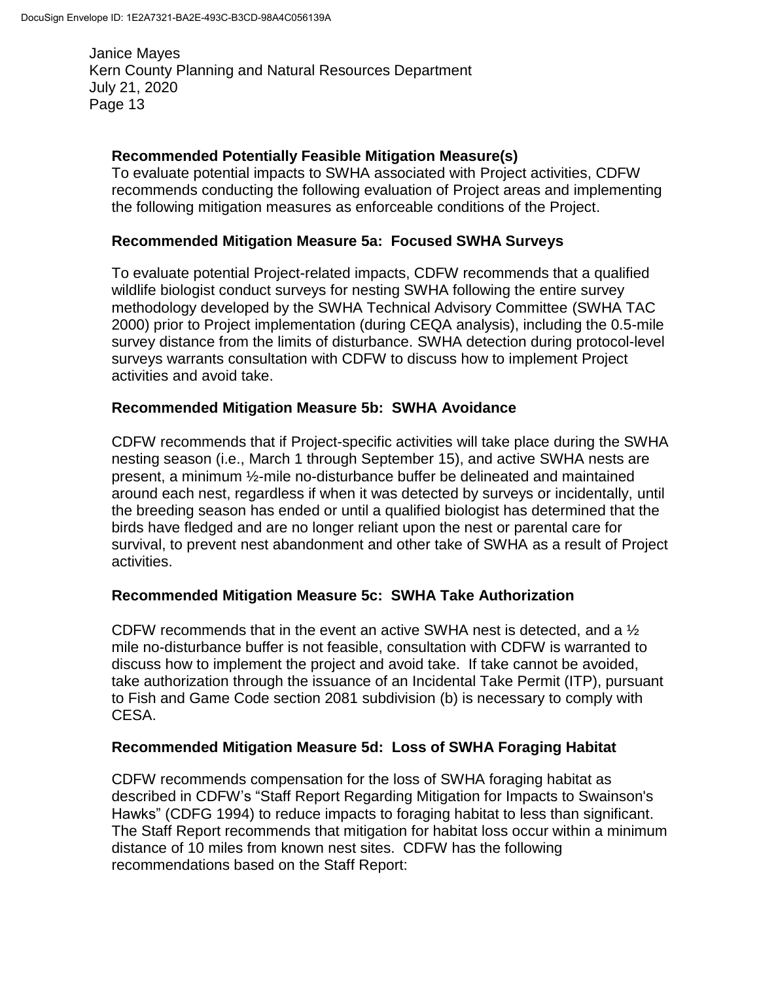## **Recommended Potentially Feasible Mitigation Measure(s)**

To evaluate potential impacts to SWHA associated with Project activities, CDFW recommends conducting the following evaluation of Project areas and implementing the following mitigation measures as enforceable conditions of the Project.

#### **Recommended Mitigation Measure 5a: Focused SWHA Surveys**

To evaluate potential Project-related impacts, CDFW recommends that a qualified wildlife biologist conduct surveys for nesting SWHA following the entire survey methodology developed by the SWHA Technical Advisory Committee (SWHA TAC 2000) prior to Project implementation (during CEQA analysis), including the 0.5-mile survey distance from the limits of disturbance. SWHA detection during protocol-level surveys warrants consultation with CDFW to discuss how to implement Project activities and avoid take.

#### **Recommended Mitigation Measure 5b: SWHA Avoidance**

CDFW recommends that if Project-specific activities will take place during the SWHA nesting season (i.e., March 1 through September 15), and active SWHA nests are present, a minimum ½-mile no-disturbance buffer be delineated and maintained around each nest, regardless if when it was detected by surveys or incidentally, until the breeding season has ended or until a qualified biologist has determined that the birds have fledged and are no longer reliant upon the nest or parental care for survival, to prevent nest abandonment and other take of SWHA as a result of Project activities.

### **Recommended Mitigation Measure 5c: SWHA Take Authorization**

CDFW recommends that in the event an active SWHA nest is detected, and a ½ mile no-disturbance buffer is not feasible, consultation with CDFW is warranted to discuss how to implement the project and avoid take. If take cannot be avoided, take authorization through the issuance of an Incidental Take Permit (ITP), pursuant to Fish and Game Code section 2081 subdivision (b) is necessary to comply with CESA.

#### **Recommended Mitigation Measure 5d: Loss of SWHA Foraging Habitat**

CDFW recommends compensation for the loss of SWHA foraging habitat as described in CDFW's "Staff Report Regarding Mitigation for Impacts to Swainson's Hawks" (CDFG 1994) to reduce impacts to foraging habitat to less than significant. The Staff Report recommends that mitigation for habitat loss occur within a minimum distance of 10 miles from known nest sites. CDFW has the following recommendations based on the Staff Report: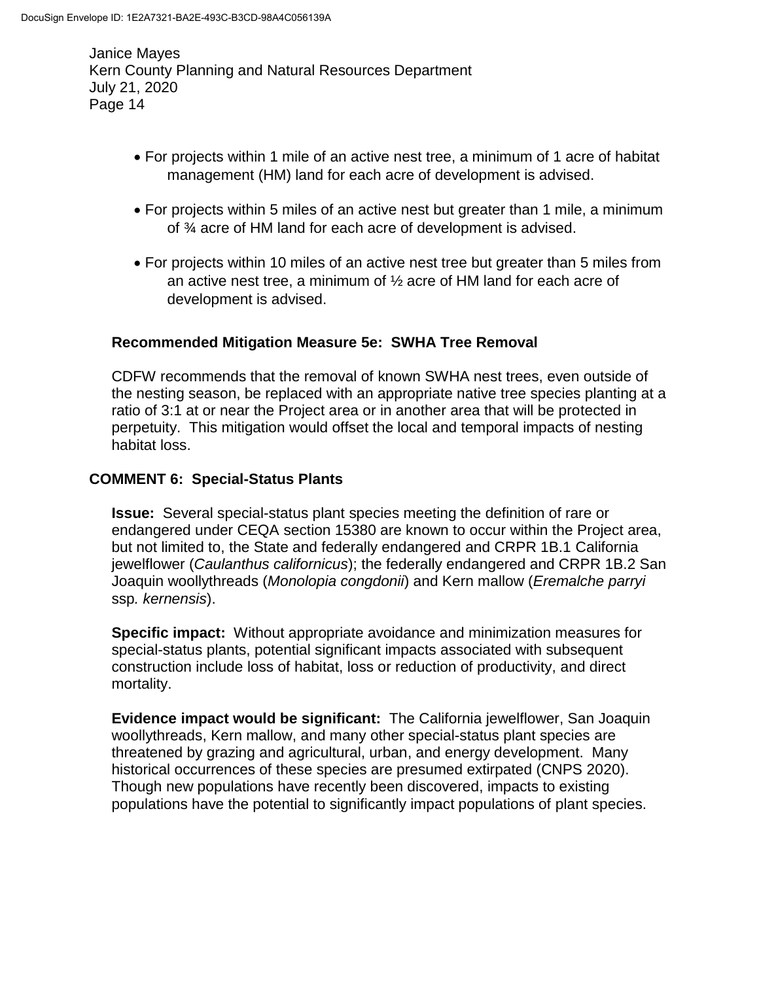- For projects within 1 mile of an active nest tree, a minimum of 1 acre of habitat management (HM) land for each acre of development is advised.
- For projects within 5 miles of an active nest but greater than 1 mile, a minimum of ¾ acre of HM land for each acre of development is advised.
- For projects within 10 miles of an active nest tree but greater than 5 miles from an active nest tree, a minimum of ½ acre of HM land for each acre of development is advised.

# **Recommended Mitigation Measure 5e: SWHA Tree Removal**

CDFW recommends that the removal of known SWHA nest trees, even outside of the nesting season, be replaced with an appropriate native tree species planting at a ratio of 3:1 at or near the Project area or in another area that will be protected in perpetuity. This mitigation would offset the local and temporal impacts of nesting habitat loss.

# **COMMENT 6: Special-Status Plants**

**Issue:** Several special-status plant species meeting the definition of rare or endangered under CEQA section 15380 are known to occur within the Project area, but not limited to, the State and federally endangered and CRPR 1B.1 California jewelflower (*Caulanthus californicus*); the federally endangered and CRPR 1B.2 San Joaquin woollythreads (*Monolopia congdonii*) and Kern mallow (*Eremalche parryi*  ssp*. kernensis*).

**Specific impact:** Without appropriate avoidance and minimization measures for special-status plants, potential significant impacts associated with subsequent construction include loss of habitat, loss or reduction of productivity, and direct mortality.

**Evidence impact would be significant:** The California jewelflower, San Joaquin woollythreads, Kern mallow, and many other special-status plant species are threatened by grazing and agricultural, urban, and energy development. Many historical occurrences of these species are presumed extirpated (CNPS 2020). Though new populations have recently been discovered, impacts to existing populations have the potential to significantly impact populations of plant species.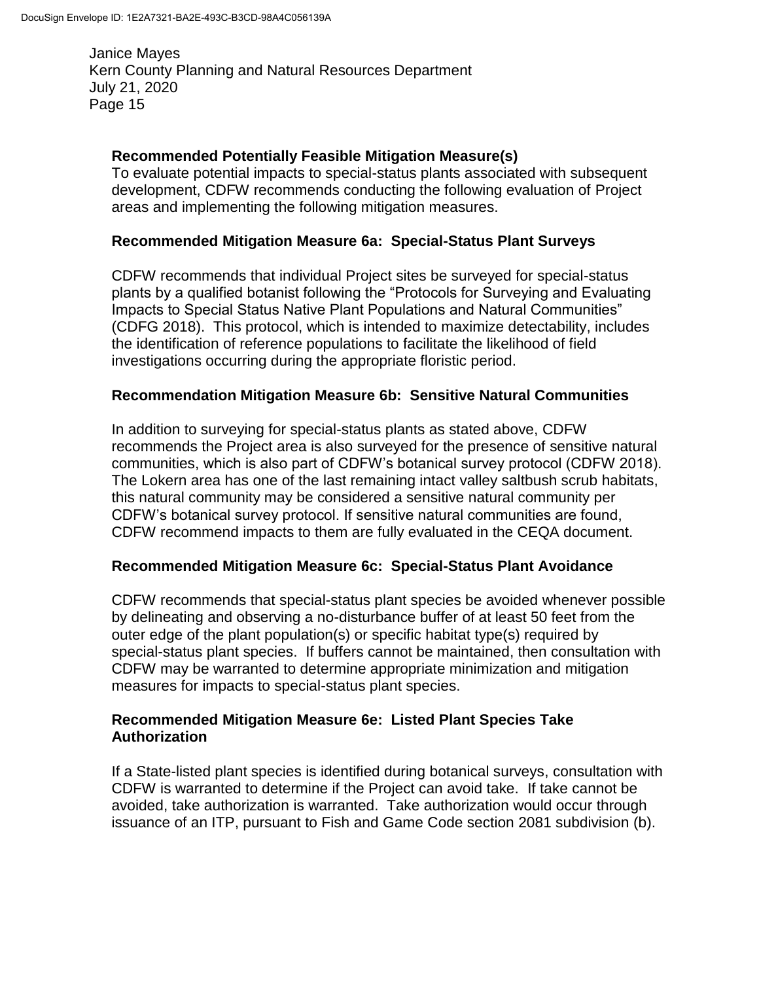## **Recommended Potentially Feasible Mitigation Measure(s)**

To evaluate potential impacts to special-status plants associated with subsequent development, CDFW recommends conducting the following evaluation of Project areas and implementing the following mitigation measures.

### **Recommended Mitigation Measure 6a: Special-Status Plant Surveys**

CDFW recommends that individual Project sites be surveyed for special-status plants by a qualified botanist following the "Protocols for Surveying and Evaluating Impacts to Special Status Native Plant Populations and Natural Communities" (CDFG 2018). This protocol, which is intended to maximize detectability, includes the identification of reference populations to facilitate the likelihood of field investigations occurring during the appropriate floristic period.

#### **Recommendation Mitigation Measure 6b: Sensitive Natural Communities**

In addition to surveying for special-status plants as stated above, CDFW recommends the Project area is also surveyed for the presence of sensitive natural communities, which is also part of CDFW's botanical survey protocol (CDFW 2018). The Lokern area has one of the last remaining intact valley saltbush scrub habitats, this natural community may be considered a sensitive natural community per CDFW's botanical survey protocol. If sensitive natural communities are found, CDFW recommend impacts to them are fully evaluated in the CEQA document.

### **Recommended Mitigation Measure 6c: Special-Status Plant Avoidance**

CDFW recommends that special-status plant species be avoided whenever possible by delineating and observing a no-disturbance buffer of at least 50 feet from the outer edge of the plant population(s) or specific habitat type(s) required by special-status plant species. If buffers cannot be maintained, then consultation with CDFW may be warranted to determine appropriate minimization and mitigation measures for impacts to special-status plant species.

### **Recommended Mitigation Measure 6e: Listed Plant Species Take Authorization**

If a State-listed plant species is identified during botanical surveys, consultation with CDFW is warranted to determine if the Project can avoid take. If take cannot be avoided, take authorization is warranted. Take authorization would occur through issuance of an ITP, pursuant to Fish and Game Code section 2081 subdivision (b).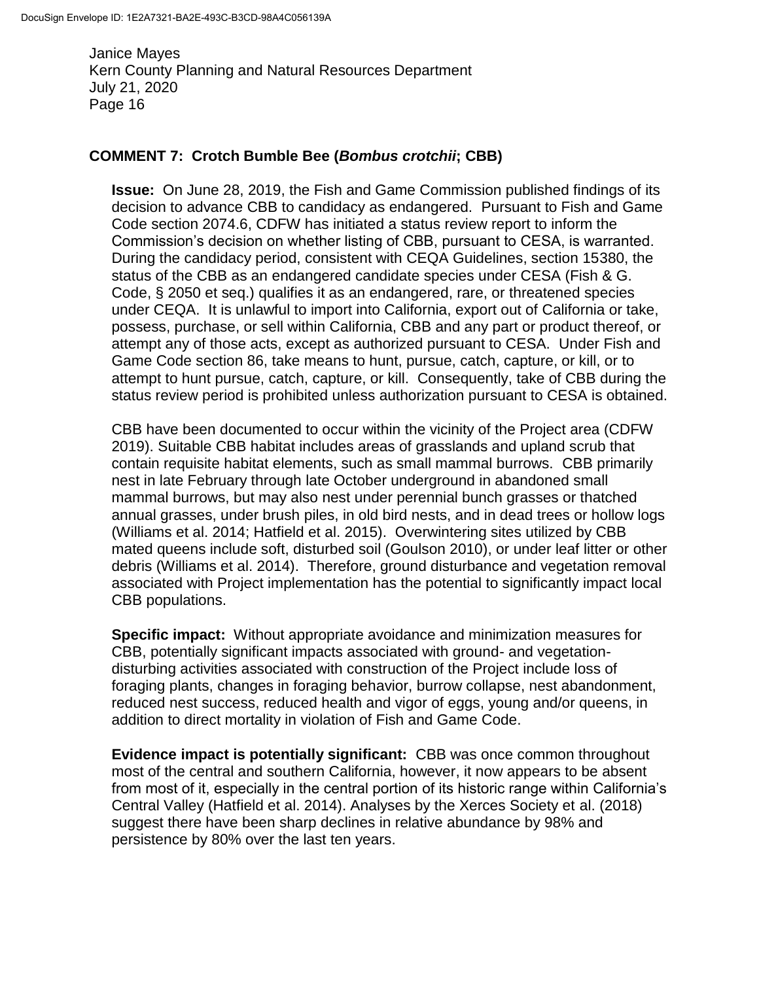#### **COMMENT 7: Crotch Bumble Bee (***Bombus crotchii***; CBB)**

**Issue:** On June 28, 2019, the Fish and Game Commission published findings of its decision to advance CBB to candidacy as endangered. Pursuant to Fish and Game Code section 2074.6, CDFW has initiated a status review report to inform the Commission's decision on whether listing of CBB, pursuant to CESA, is warranted. During the candidacy period, consistent with CEQA Guidelines, section 15380, the status of the CBB as an endangered candidate species under CESA (Fish & G. Code, § 2050 et seq.) qualifies it as an endangered, rare, or threatened species under CEQA. It is unlawful to import into California, export out of California or take, possess, purchase, or sell within California, CBB and any part or product thereof, or attempt any of those acts, except as authorized pursuant to CESA. Under Fish and Game Code section 86, take means to hunt, pursue, catch, capture, or kill, or to attempt to hunt pursue, catch, capture, or kill. Consequently, take of CBB during the status review period is prohibited unless authorization pursuant to CESA is obtained.

CBB have been documented to occur within the vicinity of the Project area (CDFW 2019). Suitable CBB habitat includes areas of grasslands and upland scrub that contain requisite habitat elements, such as small mammal burrows. CBB primarily nest in late February through late October underground in abandoned small mammal burrows, but may also nest under perennial bunch grasses or thatched annual grasses, under brush piles, in old bird nests, and in dead trees or hollow logs (Williams et al. 2014; Hatfield et al. 2015). Overwintering sites utilized by CBB mated queens include soft, disturbed soil (Goulson 2010), or under leaf litter or other debris (Williams et al. 2014). Therefore, ground disturbance and vegetation removal associated with Project implementation has the potential to significantly impact local CBB populations.

**Specific impact:** Without appropriate avoidance and minimization measures for CBB, potentially significant impacts associated with ground- and vegetationdisturbing activities associated with construction of the Project include loss of foraging plants, changes in foraging behavior, burrow collapse, nest abandonment, reduced nest success, reduced health and vigor of eggs, young and/or queens, in addition to direct mortality in violation of Fish and Game Code.

**Evidence impact is potentially significant:** CBB was once common throughout most of the central and southern California, however, it now appears to be absent from most of it, especially in the central portion of its historic range within California's Central Valley (Hatfield et al. 2014). Analyses by the Xerces Society et al. (2018) suggest there have been sharp declines in relative abundance by 98% and persistence by 80% over the last ten years.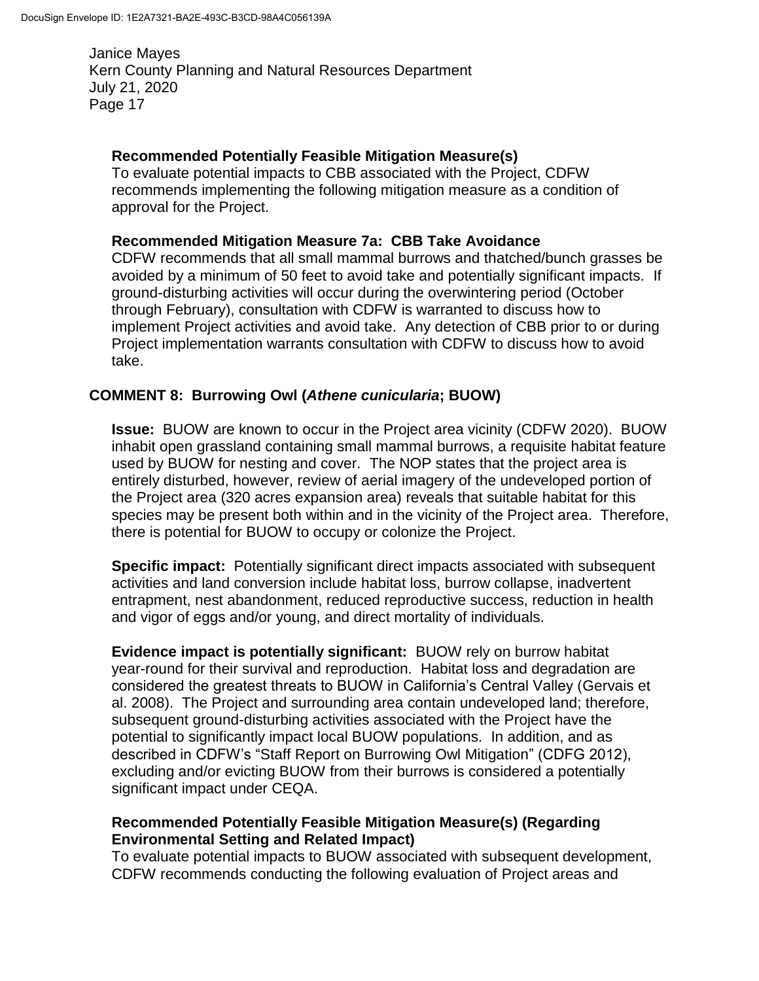## **Recommended Potentially Feasible Mitigation Measure(s)**

To evaluate potential impacts to CBB associated with the Project, CDFW recommends implementing the following mitigation measure as a condition of approval for the Project.

### **Recommended Mitigation Measure 7a: CBB Take Avoidance**

CDFW recommends that all small mammal burrows and thatched/bunch grasses be avoided by a minimum of 50 feet to avoid take and potentially significant impacts. If ground-disturbing activities will occur during the overwintering period (October through February), consultation with CDFW is warranted to discuss how to implement Project activities and avoid take. Any detection of CBB prior to or during Project implementation warrants consultation with CDFW to discuss how to avoid take.

# **COMMENT 8: Burrowing Owl (***Athene cunicularia***; BUOW)**

**Issue:** BUOW are known to occur in the Project area vicinity (CDFW 2020). BUOW inhabit open grassland containing small mammal burrows, a requisite habitat feature used by BUOW for nesting and cover. The NOP states that the project area is entirely disturbed, however, review of aerial imagery of the undeveloped portion of the Project area (320 acres expansion area) reveals that suitable habitat for this species may be present both within and in the vicinity of the Project area. Therefore, there is potential for BUOW to occupy or colonize the Project.

**Specific impact:** Potentially significant direct impacts associated with subsequent activities and land conversion include habitat loss, burrow collapse, inadvertent entrapment, nest abandonment, reduced reproductive success, reduction in health and vigor of eggs and/or young, and direct mortality of individuals.

**Evidence impact is potentially significant:** BUOW rely on burrow habitat year-round for their survival and reproduction. Habitat loss and degradation are considered the greatest threats to BUOW in California's Central Valley (Gervais et al. 2008). The Project and surrounding area contain undeveloped land; therefore, subsequent ground-disturbing activities associated with the Project have the potential to significantly impact local BUOW populations. In addition, and as described in CDFW's "Staff Report on Burrowing Owl Mitigation" (CDFG 2012), excluding and/or evicting BUOW from their burrows is considered a potentially significant impact under CEQA.

### **Recommended Potentially Feasible Mitigation Measure(s) (Regarding Environmental Setting and Related Impact)**

To evaluate potential impacts to BUOW associated with subsequent development, CDFW recommends conducting the following evaluation of Project areas and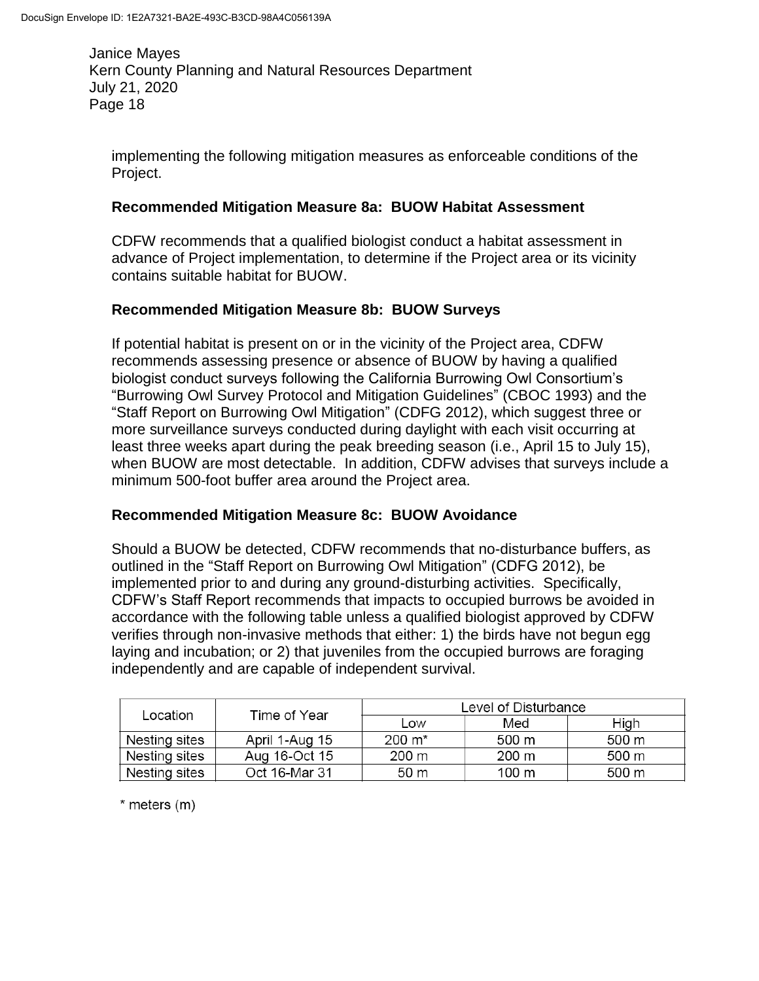implementing the following mitigation measures as enforceable conditions of the Project.

## **Recommended Mitigation Measure 8a: BUOW Habitat Assessment**

CDFW recommends that a qualified biologist conduct a habitat assessment in advance of Project implementation, to determine if the Project area or its vicinity contains suitable habitat for BUOW.

# **Recommended Mitigation Measure 8b: BUOW Surveys**

If potential habitat is present on or in the vicinity of the Project area, CDFW recommends assessing presence or absence of BUOW by having a qualified biologist conduct surveys following the California Burrowing Owl Consortium's "Burrowing Owl Survey Protocol and Mitigation Guidelines" (CBOC 1993) and the "Staff Report on Burrowing Owl Mitigation" (CDFG 2012), which suggest three or more surveillance surveys conducted during daylight with each visit occurring at least three weeks apart during the peak breeding season (i.e., April 15 to July 15), when BUOW are most detectable. In addition, CDFW advises that surveys include a minimum 500-foot buffer area around the Project area.

### **Recommended Mitigation Measure 8c: BUOW Avoidance**

Should a BUOW be detected, CDFW recommends that no-disturbance buffers, as outlined in the "Staff Report on Burrowing Owl Mitigation" (CDFG 2012), be implemented prior to and during any ground-disturbing activities. Specifically, CDFW's Staff Report recommends that impacts to occupied burrows be avoided in accordance with the following table unless a qualified biologist approved by CDFW verifies through non-invasive methods that either: 1) the birds have not begun egg laying and incubation; or 2) that juveniles from the occupied burrows are foraging independently and are capable of independent survival.

| Location      | Time of Year   | Level of Disturbance |       |       |
|---------------|----------------|----------------------|-------|-------|
|               |                | Low                  | Med   | High  |
| Nesting sites | April 1-Aug 15 | 200 m*               | 500 m | 500 m |
| Nesting sites | Aug 16-Oct 15  | 200 m                | 200 m | 500 m |
| Nesting sites | Oct 16-Mar 31  | 50 <sub>m</sub>      | 100 m | 500 m |

\* meters (m)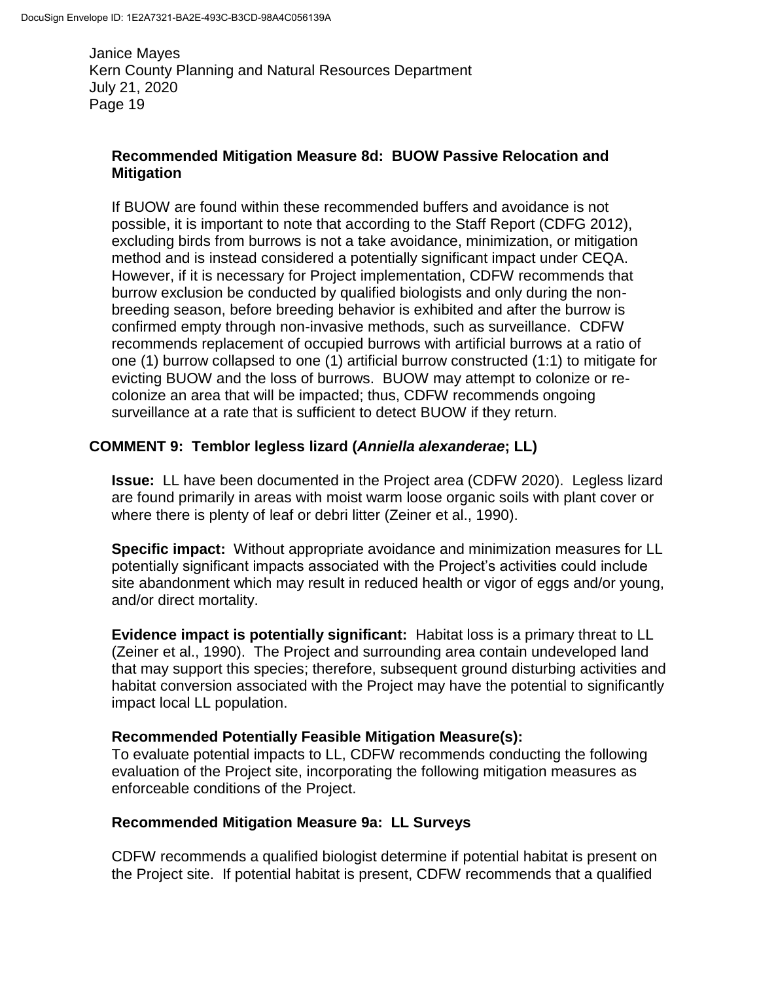## **Recommended Mitigation Measure 8d: BUOW Passive Relocation and Mitigation**

If BUOW are found within these recommended buffers and avoidance is not possible, it is important to note that according to the Staff Report (CDFG 2012), excluding birds from burrows is not a take avoidance, minimization, or mitigation method and is instead considered a potentially significant impact under CEQA. However, if it is necessary for Project implementation, CDFW recommends that burrow exclusion be conducted by qualified biologists and only during the nonbreeding season, before breeding behavior is exhibited and after the burrow is confirmed empty through non-invasive methods, such as surveillance. CDFW recommends replacement of occupied burrows with artificial burrows at a ratio of one (1) burrow collapsed to one (1) artificial burrow constructed (1:1) to mitigate for evicting BUOW and the loss of burrows. BUOW may attempt to colonize or recolonize an area that will be impacted; thus, CDFW recommends ongoing surveillance at a rate that is sufficient to detect BUOW if they return.

### **COMMENT 9: Temblor legless lizard (***Anniella alexanderae***; LL)**

**Issue:** LL have been documented in the Project area (CDFW 2020). Legless lizard are found primarily in areas with moist warm loose organic soils with plant cover or where there is plenty of leaf or debri litter (Zeiner et al., 1990).

**Specific impact:** Without appropriate avoidance and minimization measures for LL potentially significant impacts associated with the Project's activities could include site abandonment which may result in reduced health or vigor of eggs and/or young, and/or direct mortality.

**Evidence impact is potentially significant:** Habitat loss is a primary threat to LL (Zeiner et al., 1990). The Project and surrounding area contain undeveloped land that may support this species; therefore, subsequent ground disturbing activities and habitat conversion associated with the Project may have the potential to significantly impact local LL population.

### **Recommended Potentially Feasible Mitigation Measure(s):**

To evaluate potential impacts to LL, CDFW recommends conducting the following evaluation of the Project site, incorporating the following mitigation measures as enforceable conditions of the Project.

### **Recommended Mitigation Measure 9a: LL Surveys**

CDFW recommends a qualified biologist determine if potential habitat is present on the Project site. If potential habitat is present, CDFW recommends that a qualified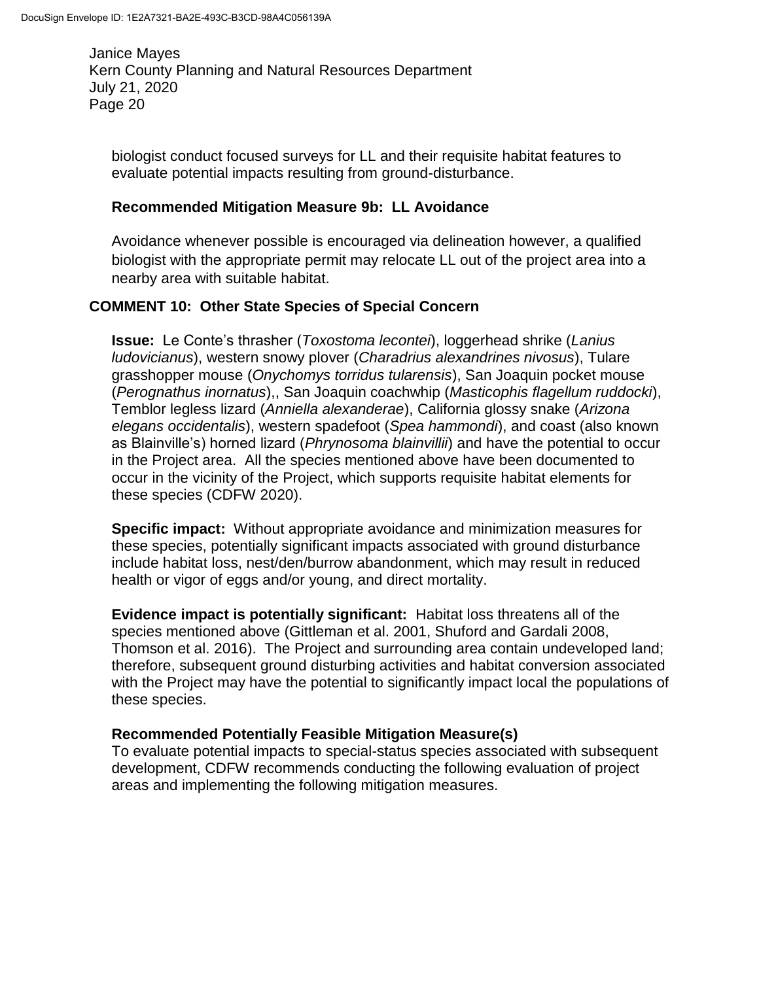biologist conduct focused surveys for LL and their requisite habitat features to evaluate potential impacts resulting from ground-disturbance.

### **Recommended Mitigation Measure 9b: LL Avoidance**

Avoidance whenever possible is encouraged via delineation however, a qualified biologist with the appropriate permit may relocate LL out of the project area into a nearby area with suitable habitat.

# **COMMENT 10: Other State Species of Special Concern**

**Issue:** Le Conte's thrasher (*Toxostoma lecontei*), loggerhead shrike (*Lanius ludovicianus*), western snowy plover (*Charadrius alexandrines nivosus*), Tulare grasshopper mouse (*Onychomys torridus tularensis*), San Joaquin pocket mouse (*Perognathus inornatus*),, San Joaquin coachwhip (*Masticophis flagellum ruddocki*), Temblor legless lizard (*Anniella alexanderae*), California glossy snake (*Arizona elegans occidentalis*), western spadefoot (*Spea hammondi*), and coast (also known as Blainville's) horned lizard (*Phrynosoma blainvillii*) and have the potential to occur in the Project area. All the species mentioned above have been documented to occur in the vicinity of the Project, which supports requisite habitat elements for these species (CDFW 2020).

**Specific impact:** Without appropriate avoidance and minimization measures for these species, potentially significant impacts associated with ground disturbance include habitat loss, nest/den/burrow abandonment, which may result in reduced health or vigor of eggs and/or young, and direct mortality.

**Evidence impact is potentially significant:** Habitat loss threatens all of the species mentioned above (Gittleman et al. 2001, Shuford and Gardali 2008, Thomson et al. 2016). The Project and surrounding area contain undeveloped land; therefore, subsequent ground disturbing activities and habitat conversion associated with the Project may have the potential to significantly impact local the populations of these species.

### **Recommended Potentially Feasible Mitigation Measure(s)**

To evaluate potential impacts to special-status species associated with subsequent development, CDFW recommends conducting the following evaluation of project areas and implementing the following mitigation measures.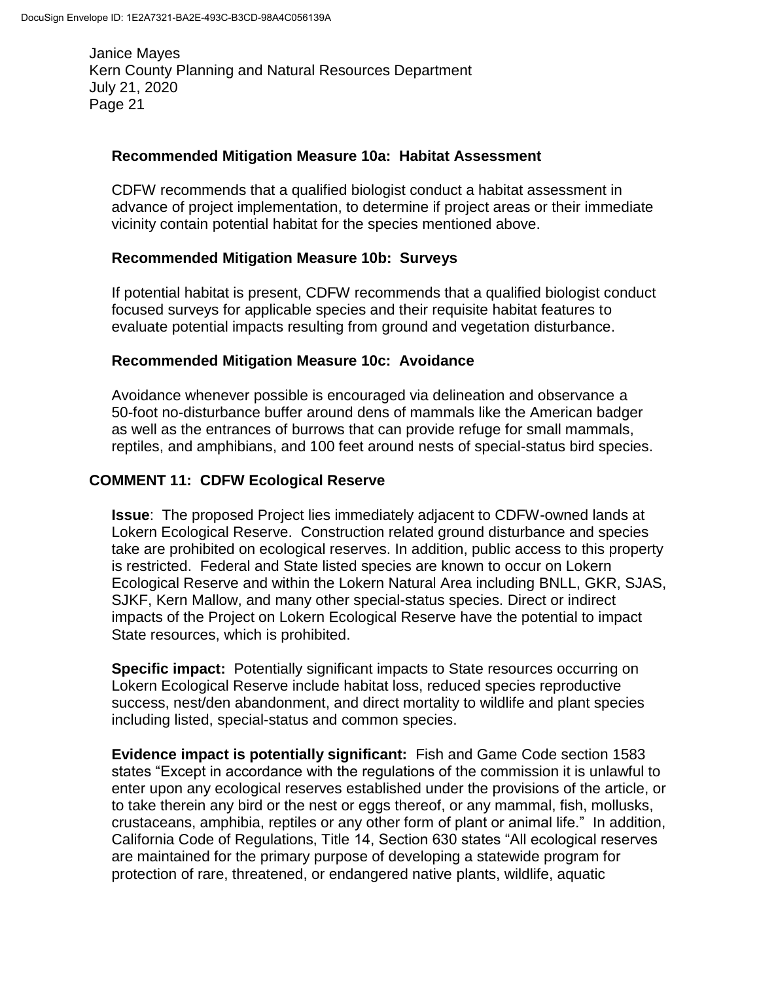#### **Recommended Mitigation Measure 10a: Habitat Assessment**

CDFW recommends that a qualified biologist conduct a habitat assessment in advance of project implementation, to determine if project areas or their immediate vicinity contain potential habitat for the species mentioned above.

#### **Recommended Mitigation Measure 10b: Surveys**

If potential habitat is present, CDFW recommends that a qualified biologist conduct focused surveys for applicable species and their requisite habitat features to evaluate potential impacts resulting from ground and vegetation disturbance.

#### **Recommended Mitigation Measure 10c: Avoidance**

Avoidance whenever possible is encouraged via delineation and observance a 50-foot no-disturbance buffer around dens of mammals like the American badger as well as the entrances of burrows that can provide refuge for small mammals, reptiles, and amphibians, and 100 feet around nests of special-status bird species.

### **COMMENT 11: CDFW Ecological Reserve**

**Issue**: The proposed Project lies immediately adjacent to CDFW-owned lands at Lokern Ecological Reserve. Construction related ground disturbance and species take are prohibited on ecological reserves. In addition, public access to this property is restricted. Federal and State listed species are known to occur on Lokern Ecological Reserve and within the Lokern Natural Area including BNLL, GKR, SJAS, SJKF, Kern Mallow, and many other special-status species. Direct or indirect impacts of the Project on Lokern Ecological Reserve have the potential to impact State resources, which is prohibited.

**Specific impact:** Potentially significant impacts to State resources occurring on Lokern Ecological Reserve include habitat loss, reduced species reproductive success, nest/den abandonment, and direct mortality to wildlife and plant species including listed, special-status and common species.

**Evidence impact is potentially significant:** Fish and Game Code section 1583 states "Except in accordance with the regulations of the commission it is unlawful to enter upon any ecological reserves established under the provisions of the article, or to take therein any bird or the nest or eggs thereof, or any mammal, fish, mollusks, crustaceans, amphibia, reptiles or any other form of plant or animal life." In addition, California Code of Regulations, Title 14, Section 630 states "All ecological reserves are maintained for the primary purpose of developing a statewide program for protection of rare, threatened, or endangered native plants, wildlife, aquatic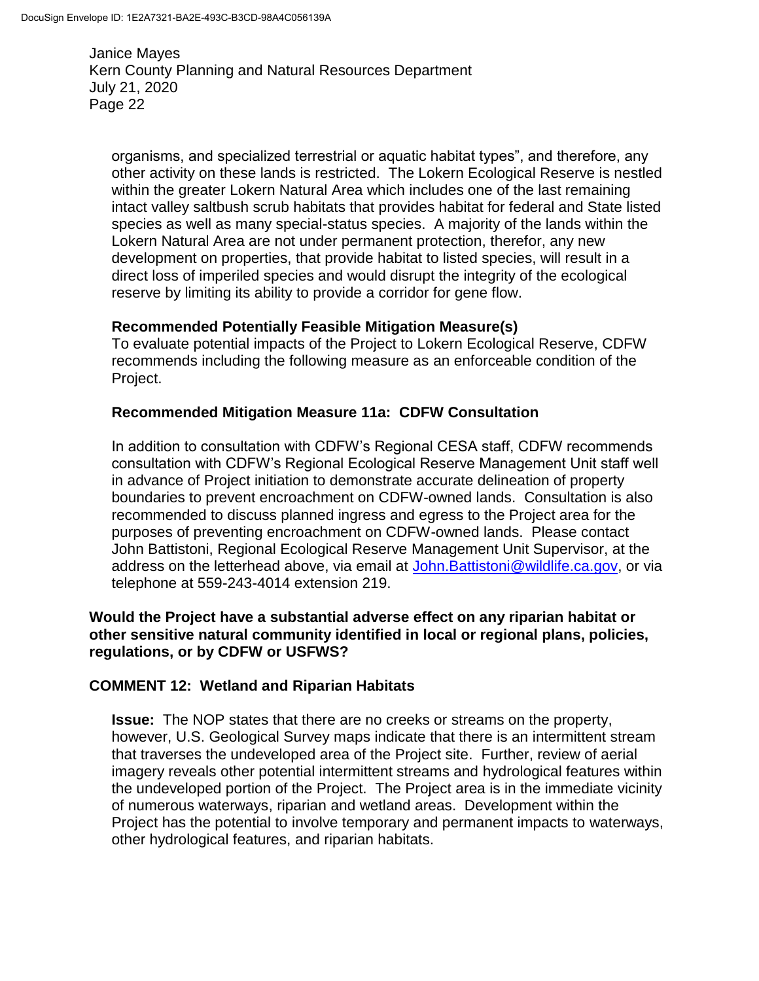organisms, and specialized terrestrial or aquatic habitat types", and therefore, any other activity on these lands is restricted. The Lokern Ecological Reserve is nestled within the greater Lokern Natural Area which includes one of the last remaining intact valley saltbush scrub habitats that provides habitat for federal and State listed species as well as many special-status species. A majority of the lands within the Lokern Natural Area are not under permanent protection, therefor, any new development on properties, that provide habitat to listed species, will result in a direct loss of imperiled species and would disrupt the integrity of the ecological reserve by limiting its ability to provide a corridor for gene flow.

#### **Recommended Potentially Feasible Mitigation Measure(s)**

To evaluate potential impacts of the Project to Lokern Ecological Reserve, CDFW recommends including the following measure as an enforceable condition of the Project.

#### **Recommended Mitigation Measure 11a: CDFW Consultation**

In addition to consultation with CDFW's Regional CESA staff, CDFW recommends consultation with CDFW's Regional Ecological Reserve Management Unit staff well in advance of Project initiation to demonstrate accurate delineation of property boundaries to prevent encroachment on CDFW-owned lands. Consultation is also recommended to discuss planned ingress and egress to the Project area for the purposes of preventing encroachment on CDFW-owned lands. Please contact John Battistoni, Regional Ecological Reserve Management Unit Supervisor, at the address on the letterhead above, via email at [John.Battistoni@wildlife.ca.gov,](mailto:John.Battistoni@wildlife.ca.gov) or via telephone at 559-243-4014 extension 219.

#### **Would the Project have a substantial adverse effect on any riparian habitat or other sensitive natural community identified in local or regional plans, policies, regulations, or by CDFW or USFWS?**

### **COMMENT 12: Wetland and Riparian Habitats**

**Issue:** The NOP states that there are no creeks or streams on the property, however, U.S. Geological Survey maps indicate that there is an intermittent stream that traverses the undeveloped area of the Project site. Further, review of aerial imagery reveals other potential intermittent streams and hydrological features within the undeveloped portion of the Project. The Project area is in the immediate vicinity of numerous waterways, riparian and wetland areas. Development within the Project has the potential to involve temporary and permanent impacts to waterways, other hydrological features, and riparian habitats.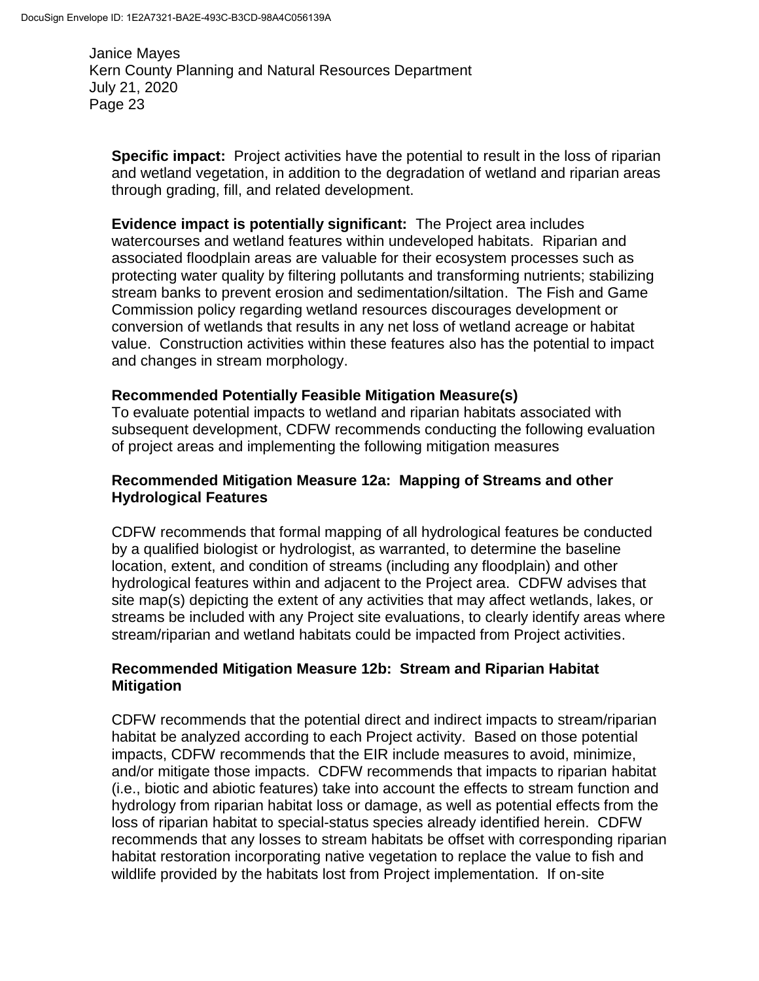**Specific impact:** Project activities have the potential to result in the loss of riparian and wetland vegetation, in addition to the degradation of wetland and riparian areas through grading, fill, and related development.

**Evidence impact is potentially significant:** The Project area includes watercourses and wetland features within undeveloped habitats. Riparian and associated floodplain areas are valuable for their ecosystem processes such as protecting water quality by filtering pollutants and transforming nutrients; stabilizing stream banks to prevent erosion and sedimentation/siltation. The Fish and Game Commission policy regarding wetland resources discourages development or conversion of wetlands that results in any net loss of wetland acreage or habitat value. Construction activities within these features also has the potential to impact and changes in stream morphology.

### **Recommended Potentially Feasible Mitigation Measure(s)**

To evaluate potential impacts to wetland and riparian habitats associated with subsequent development, CDFW recommends conducting the following evaluation of project areas and implementing the following mitigation measures

### **Recommended Mitigation Measure 12a: Mapping of Streams and other Hydrological Features**

CDFW recommends that formal mapping of all hydrological features be conducted by a qualified biologist or hydrologist, as warranted, to determine the baseline location, extent, and condition of streams (including any floodplain) and other hydrological features within and adjacent to the Project area. CDFW advises that site map(s) depicting the extent of any activities that may affect wetlands, lakes, or streams be included with any Project site evaluations, to clearly identify areas where stream/riparian and wetland habitats could be impacted from Project activities.

### **Recommended Mitigation Measure 12b: Stream and Riparian Habitat Mitigation**

CDFW recommends that the potential direct and indirect impacts to stream/riparian habitat be analyzed according to each Project activity. Based on those potential impacts, CDFW recommends that the EIR include measures to avoid, minimize, and/or mitigate those impacts. CDFW recommends that impacts to riparian habitat (i.e., biotic and abiotic features) take into account the effects to stream function and hydrology from riparian habitat loss or damage, as well as potential effects from the loss of riparian habitat to special-status species already identified herein. CDFW recommends that any losses to stream habitats be offset with corresponding riparian habitat restoration incorporating native vegetation to replace the value to fish and wildlife provided by the habitats lost from Project implementation. If on-site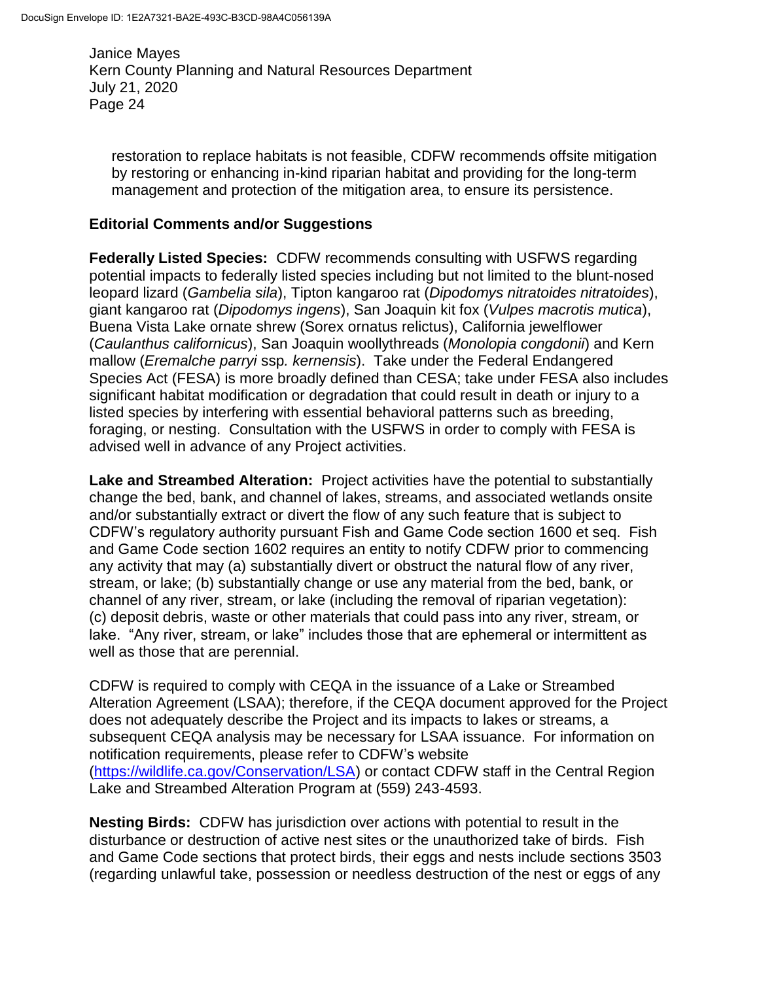restoration to replace habitats is not feasible, CDFW recommends offsite mitigation by restoring or enhancing in-kind riparian habitat and providing for the long-term management and protection of the mitigation area, to ensure its persistence.

## **Editorial Comments and/or Suggestions**

**Federally Listed Species:** CDFW recommends consulting with USFWS regarding potential impacts to federally listed species including but not limited to the blunt-nosed leopard lizard (*Gambelia sila*), Tipton kangaroo rat (*Dipodomys nitratoides nitratoides*), giant kangaroo rat (*Dipodomys ingens*), San Joaquin kit fox (*Vulpes macrotis mutica*), Buena Vista Lake ornate shrew (Sorex ornatus relictus), California jewelflower (*Caulanthus californicus*), San Joaquin woollythreads (*Monolopia congdonii*) and Kern mallow (*Eremalche parryi* ssp*. kernensis*). Take under the Federal Endangered Species Act (FESA) is more broadly defined than CESA; take under FESA also includes significant habitat modification or degradation that could result in death or injury to a listed species by interfering with essential behavioral patterns such as breeding, foraging, or nesting. Consultation with the USFWS in order to comply with FESA is advised well in advance of any Project activities.

**Lake and Streambed Alteration:** Project activities have the potential to substantially change the bed, bank, and channel of lakes, streams, and associated wetlands onsite and/or substantially extract or divert the flow of any such feature that is subject to CDFW's regulatory authority pursuant Fish and Game Code section 1600 et seq. Fish and Game Code section 1602 requires an entity to notify CDFW prior to commencing any activity that may (a) substantially divert or obstruct the natural flow of any river, stream, or lake; (b) substantially change or use any material from the bed, bank, or channel of any river, stream, or lake (including the removal of riparian vegetation): (c) deposit debris, waste or other materials that could pass into any river, stream, or lake. "Any river, stream, or lake" includes those that are ephemeral or intermittent as well as those that are perennial.

CDFW is required to comply with CEQA in the issuance of a Lake or Streambed Alteration Agreement (LSAA); therefore, if the CEQA document approved for the Project does not adequately describe the Project and its impacts to lakes or streams, a subsequent CEQA analysis may be necessary for LSAA issuance. For information on notification requirements, please refer to CDFW's website [\(https://wildlife.ca.gov/Conservation/LSA\)](https://wildlife.ca.gov/Conservation/LSA) or contact CDFW staff in the Central Region Lake and Streambed Alteration Program at (559) 243-4593.

**Nesting Birds:** CDFW has jurisdiction over actions with potential to result in the disturbance or destruction of active nest sites or the unauthorized take of birds. Fish and Game Code sections that protect birds, their eggs and nests include sections 3503 (regarding unlawful take, possession or needless destruction of the nest or eggs of any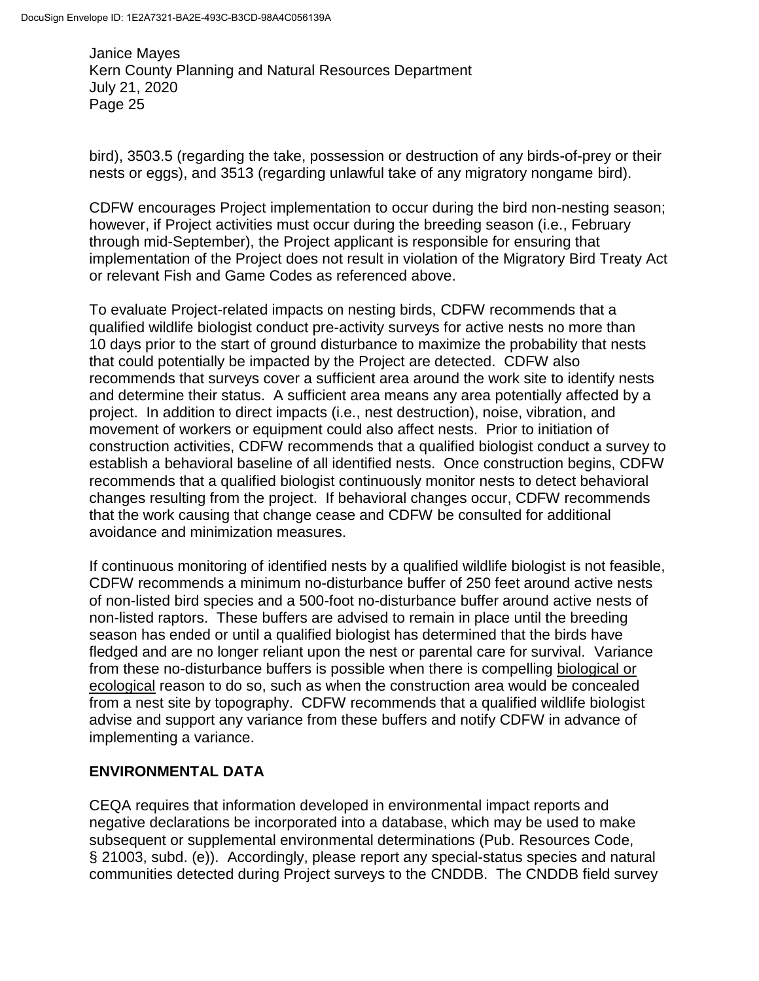bird), 3503.5 (regarding the take, possession or destruction of any birds-of-prey or their nests or eggs), and 3513 (regarding unlawful take of any migratory nongame bird).

CDFW encourages Project implementation to occur during the bird non-nesting season; however, if Project activities must occur during the breeding season (i.e., February through mid-September), the Project applicant is responsible for ensuring that implementation of the Project does not result in violation of the Migratory Bird Treaty Act or relevant Fish and Game Codes as referenced above.

To evaluate Project-related impacts on nesting birds, CDFW recommends that a qualified wildlife biologist conduct pre-activity surveys for active nests no more than 10 days prior to the start of ground disturbance to maximize the probability that nests that could potentially be impacted by the Project are detected. CDFW also recommends that surveys cover a sufficient area around the work site to identify nests and determine their status. A sufficient area means any area potentially affected by a project. In addition to direct impacts (i.e., nest destruction), noise, vibration, and movement of workers or equipment could also affect nests. Prior to initiation of construction activities, CDFW recommends that a qualified biologist conduct a survey to establish a behavioral baseline of all identified nests. Once construction begins, CDFW recommends that a qualified biologist continuously monitor nests to detect behavioral changes resulting from the project. If behavioral changes occur, CDFW recommends that the work causing that change cease and CDFW be consulted for additional avoidance and minimization measures.

If continuous monitoring of identified nests by a qualified wildlife biologist is not feasible, CDFW recommends a minimum no-disturbance buffer of 250 feet around active nests of non-listed bird species and a 500-foot no-disturbance buffer around active nests of non-listed raptors. These buffers are advised to remain in place until the breeding season has ended or until a qualified biologist has determined that the birds have fledged and are no longer reliant upon the nest or parental care for survival. Variance from these no-disturbance buffers is possible when there is compelling biological or ecological reason to do so, such as when the construction area would be concealed from a nest site by topography. CDFW recommends that a qualified wildlife biologist advise and support any variance from these buffers and notify CDFW in advance of implementing a variance.

# **ENVIRONMENTAL DATA**

CEQA requires that information developed in environmental impact reports and negative declarations be incorporated into a database, which may be used to make subsequent or supplemental environmental determinations (Pub. Resources Code, § 21003, subd. (e)). Accordingly, please report any special-status species and natural communities detected during Project surveys to the CNDDB. The CNDDB field survey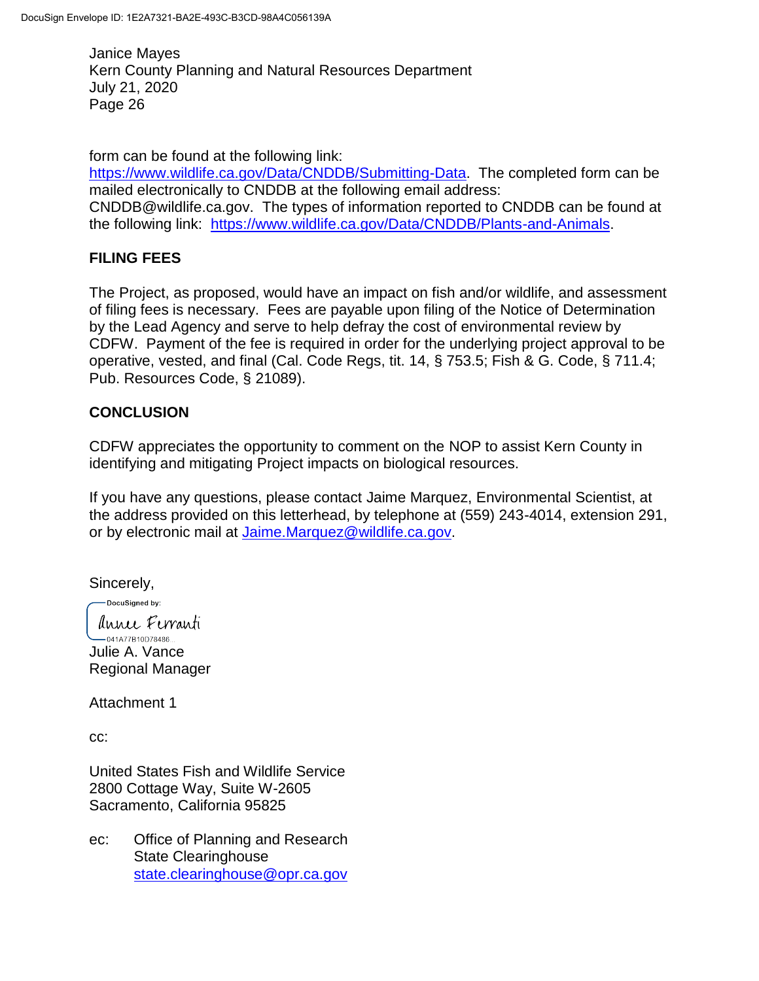form can be found at the following link: [https://www.wildlife.ca.gov/Data/CNDDB/Submitting-Data.](https://www.wildlife.ca.gov/Data/CNDDB/Submitting-Data) The completed form can be mailed electronically to CNDDB at the following email address: CNDDB@wildlife.ca.gov. The types of information reported to CNDDB can be found at the following link: [https://www.wildlife.ca.gov/Data/CNDDB/Plants-and-Animals.](https://www.wildlife.ca.gov/Data/CNDDB/Plants-and-Animals)

# **FILING FEES**

The Project, as proposed, would have an impact on fish and/or wildlife, and assessment of filing fees is necessary. Fees are payable upon filing of the Notice of Determination by the Lead Agency and serve to help defray the cost of environmental review by CDFW. Payment of the fee is required in order for the underlying project approval to be operative, vested, and final (Cal. Code Regs, tit. 14, § 753.5; Fish & G. Code, § 711.4; Pub. Resources Code, § 21089).

# **CONCLUSION**

CDFW appreciates the opportunity to comment on the NOP to assist Kern County in identifying and mitigating Project impacts on biological resources.

If you have any questions, please contact Jaime Marquez, Environmental Scientist, at the address provided on this letterhead, by telephone at (559) 243-4014, extension 291, or by electronic mail at [Jaime.Marquez@wildlife.ca.gov.](mailto:Jaime.Marquez@wildlife.ca.gov)

Sincerely,

DocuSianed by: Annee Ferranti  $-041A77B10D78486...$ 

Julie A. Vance Regional Manager

Attachment 1

cc:

United States Fish and Wildlife Service 2800 Cottage Way, Suite W-2605 Sacramento, California 95825

ec: Office of Planning and Research State Clearinghouse [state.clearinghouse@opr.ca.gov](mailto:state.clearinghouse@opr.ca.gov)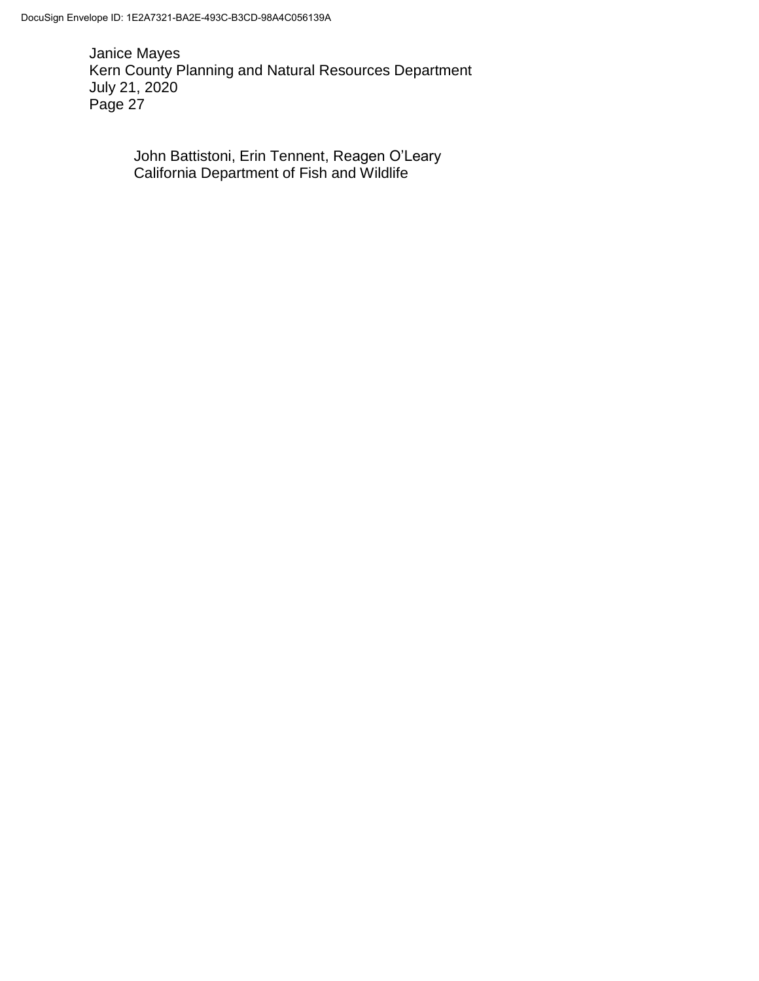> John Battistoni, Erin Tennent, Reagen O'Leary California Department of Fish and Wildlife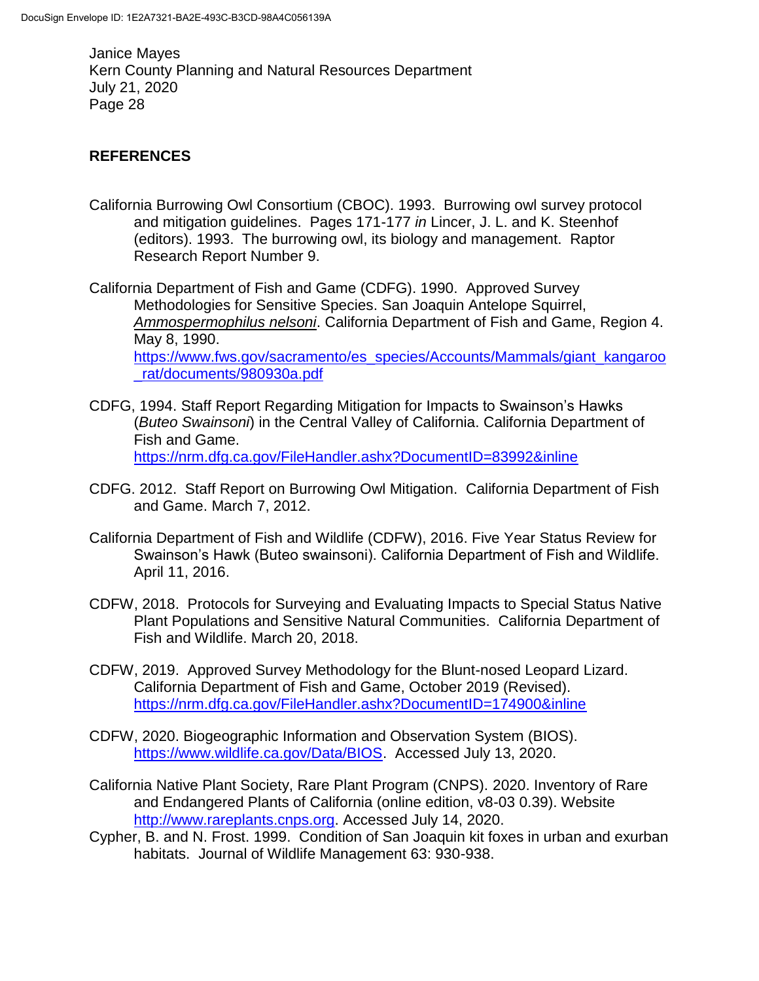# **REFERENCES**

California Burrowing Owl Consortium (CBOC). 1993. Burrowing owl survey protocol and mitigation guidelines. Pages 171-177 *in* Lincer, J. L. and K. Steenhof (editors). 1993. The burrowing owl, its biology and management. Raptor Research Report Number 9.

California Department of Fish and Game (CDFG). 1990. Approved Survey Methodologies for Sensitive Species. San Joaquin Antelope Squirrel, *Ammospermophilus nelsoni*. California Department of Fish and Game, Region 4. May 8, 1990. [https://www.fws.gov/sacramento/es\\_species/Accounts/Mammals/giant\\_kangaroo](https://www.fws.gov/sacramento/es_species/Accounts/Mammals/giant_kangaroo_rat/documents/980930a.pdf) [\\_rat/documents/980930a.pdf](https://www.fws.gov/sacramento/es_species/Accounts/Mammals/giant_kangaroo_rat/documents/980930a.pdf)

- CDFG, 1994. Staff Report Regarding Mitigation for Impacts to Swainson's Hawks (*Buteo Swainsoni*) in the Central Valley of California. California Department of Fish and Game. <https://nrm.dfg.ca.gov/FileHandler.ashx?DocumentID=83992&inline>
- CDFG. 2012. Staff Report on Burrowing Owl Mitigation. California Department of Fish and Game. March 7, 2012.
- California Department of Fish and Wildlife (CDFW), 2016. Five Year Status Review for Swainson's Hawk (Buteo swainsoni). California Department of Fish and Wildlife. April 11, 2016.
- CDFW, 2018. Protocols for Surveying and Evaluating Impacts to Special Status Native Plant Populations and Sensitive Natural Communities. California Department of Fish and Wildlife. March 20, 2018.
- CDFW, 2019. Approved Survey Methodology for the Blunt-nosed Leopard Lizard. California Department of Fish and Game, October 2019 (Revised). <https://nrm.dfg.ca.gov/FileHandler.ashx?DocumentID=174900&inline>
- CDFW, 2020. Biogeographic Information and Observation System (BIOS). [https://www.wildlife.ca.gov/Data/BIOS.](https://www.wildlife.ca.gov/Data/BIOS) Accessed July 13, 2020.
- California Native Plant Society, Rare Plant Program (CNPS). 2020. Inventory of Rare and Endangered Plants of California (online edition, v8-03 0.39). Website [http://www.rareplants.cnps.org.](http://www.rareplants.cnps.org/) Accessed July 14, 2020.
- Cypher, B. and N. Frost. 1999. Condition of San Joaquin kit foxes in urban and exurban habitats. Journal of Wildlife Management 63: 930-938.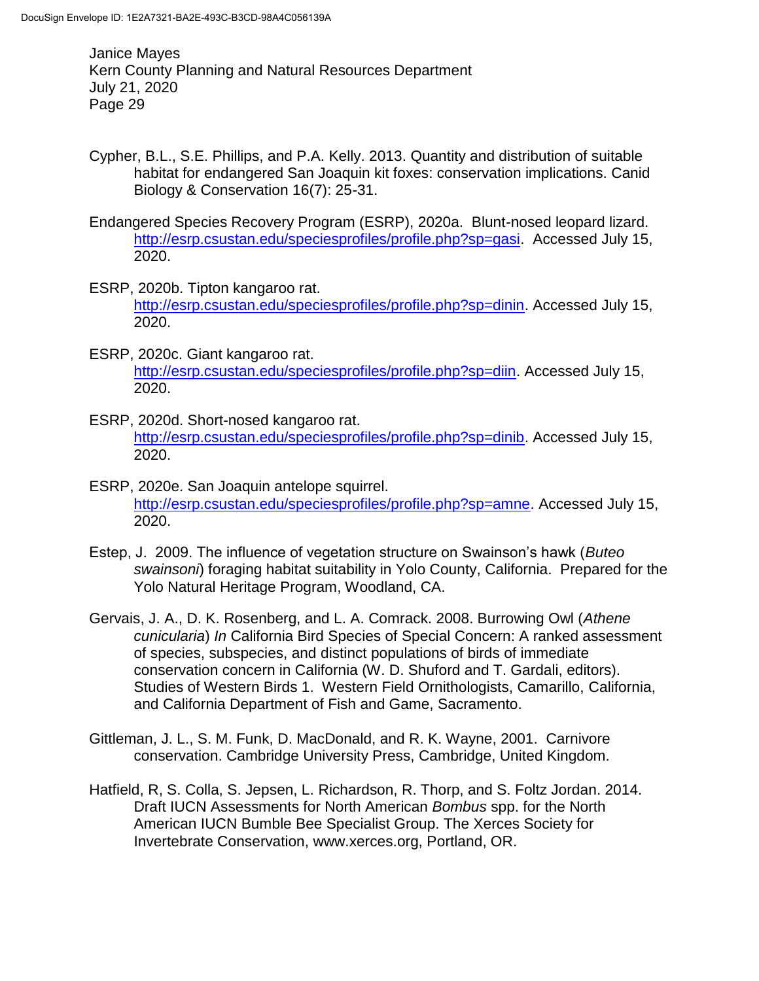- Cypher, B.L., S.E. Phillips, and P.A. Kelly. 2013. Quantity and distribution of suitable habitat for endangered San Joaquin kit foxes: conservation implications. Canid Biology & Conservation 16(7): 25-31.
- Endangered Species Recovery Program (ESRP), 2020a. Blunt-nosed leopard lizard. [http://esrp.csustan.edu/speciesprofiles/profile.php?sp=gasi.](http://esrp.csustan.edu/speciesprofiles/profile.php?sp=gasi) Accessed July 15, 2020.
- ESRP, 2020b. Tipton kangaroo rat. [http://esrp.csustan.edu/speciesprofiles/profile.php?sp=dinin.](http://esrp.csustan.edu/speciesprofiles/profile.php?sp=dinin) Accessed July 15, 2020.
- ESRP, 2020c. Giant kangaroo rat. [http://esrp.csustan.edu/speciesprofiles/profile.php?sp=diin.](http://esrp.csustan.edu/speciesprofiles/profile.php?sp=diin) Accessed July 15, 2020.
- ESRP, 2020d. Short-nosed kangaroo rat. [http://esrp.csustan.edu/speciesprofiles/profile.php?sp=dinib.](http://esrp.csustan.edu/speciesprofiles/profile.php?sp=dinib) Accessed July 15, 2020.
- ESRP, 2020e. San Joaquin antelope squirrel. [http://esrp.csustan.edu/speciesprofiles/profile.php?sp=amne.](http://esrp.csustan.edu/speciesprofiles/profile.php?sp=amne) Accessed July 15, 2020.
- Estep, J. 2009. The influence of vegetation structure on Swainson's hawk (*Buteo swainsoni*) foraging habitat suitability in Yolo County, California. Prepared for the Yolo Natural Heritage Program, Woodland, CA.
- Gervais, J. A., D. K. Rosenberg, and L. A. Comrack. 2008. Burrowing Owl (*Athene cunicularia*) *In* California Bird Species of Special Concern: A ranked assessment of species, subspecies, and distinct populations of birds of immediate conservation concern in California (W. D. Shuford and T. Gardali, editors). Studies of Western Birds 1. Western Field Ornithologists, Camarillo, California, and California Department of Fish and Game, Sacramento.
- Gittleman, J. L., S. M. Funk, D. MacDonald, and R. K. Wayne, 2001. Carnivore conservation. Cambridge University Press, Cambridge, United Kingdom.
- Hatfield, R, S. Colla, S. Jepsen, L. Richardson, R. Thorp, and S. Foltz Jordan. 2014. Draft IUCN Assessments for North American *Bombus* spp. for the North American IUCN Bumble Bee Specialist Group. The Xerces Society for Invertebrate Conservation, www.xerces.org, Portland, OR.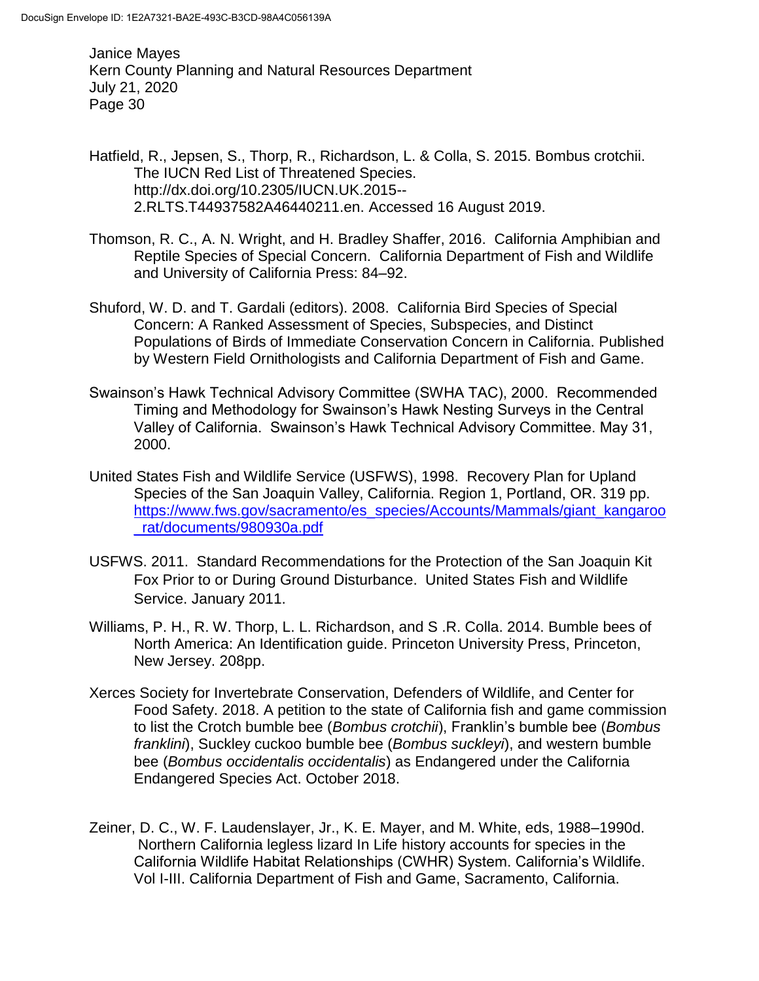Hatfield, R., Jepsen, S., Thorp, R., Richardson, L. & Colla, S. 2015. Bombus crotchii. The IUCN Red List of Threatened Species. http://dx.doi.org/10.2305/IUCN.UK.2015-- 2.RLTS.T44937582A46440211.en. Accessed 16 August 2019.

- Thomson, R. C., A. N. Wright, and H. Bradley Shaffer, 2016. California Amphibian and Reptile Species of Special Concern. California Department of Fish and Wildlife and University of California Press: 84–92.
- Shuford, W. D. and T. Gardali (editors). 2008. California Bird Species of Special Concern: A Ranked Assessment of Species, Subspecies, and Distinct Populations of Birds of Immediate Conservation Concern in California. Published by Western Field Ornithologists and California Department of Fish and Game.
- Swainson's Hawk Technical Advisory Committee (SWHA TAC), 2000. Recommended Timing and Methodology for Swainson's Hawk Nesting Surveys in the Central Valley of California. Swainson's Hawk Technical Advisory Committee. May 31, 2000.
- United States Fish and Wildlife Service (USFWS), 1998. Recovery Plan for Upland Species of the San Joaquin Valley, California. Region 1, Portland, OR. 319 pp. [https://www.fws.gov/sacramento/es\\_species/Accounts/Mammals/giant\\_kangaroo](https://www.fws.gov/sacramento/es_species/Accounts/Mammals/giant_kangaroo_rat/documents/980930a.pdf) [\\_rat/documents/980930a.pdf](https://www.fws.gov/sacramento/es_species/Accounts/Mammals/giant_kangaroo_rat/documents/980930a.pdf)
- USFWS. 2011. Standard Recommendations for the Protection of the San Joaquin Kit Fox Prior to or During Ground Disturbance. United States Fish and Wildlife Service. January 2011.
- Williams, P. H., R. W. Thorp, L. L. Richardson, and S .R. Colla. 2014. Bumble bees of North America: An Identification guide. Princeton University Press, Princeton, New Jersey. 208pp.
- Xerces Society for Invertebrate Conservation, Defenders of Wildlife, and Center for Food Safety. 2018. A petition to the state of California fish and game commission to list the Crotch bumble bee (*Bombus crotchii*), Franklin's bumble bee (*Bombus franklini*), Suckley cuckoo bumble bee (*Bombus suckleyi*), and western bumble bee (*Bombus occidentalis occidentalis*) as Endangered under the California Endangered Species Act. October 2018.
- Zeiner, D. C., W. F. Laudenslayer, Jr., K. E. Mayer, and M. White, eds, 1988–1990d. Northern California legless lizard In Life history accounts for species in the California Wildlife Habitat Relationships (CWHR) System. California's Wildlife. Vol I-III. California Department of Fish and Game, Sacramento, California.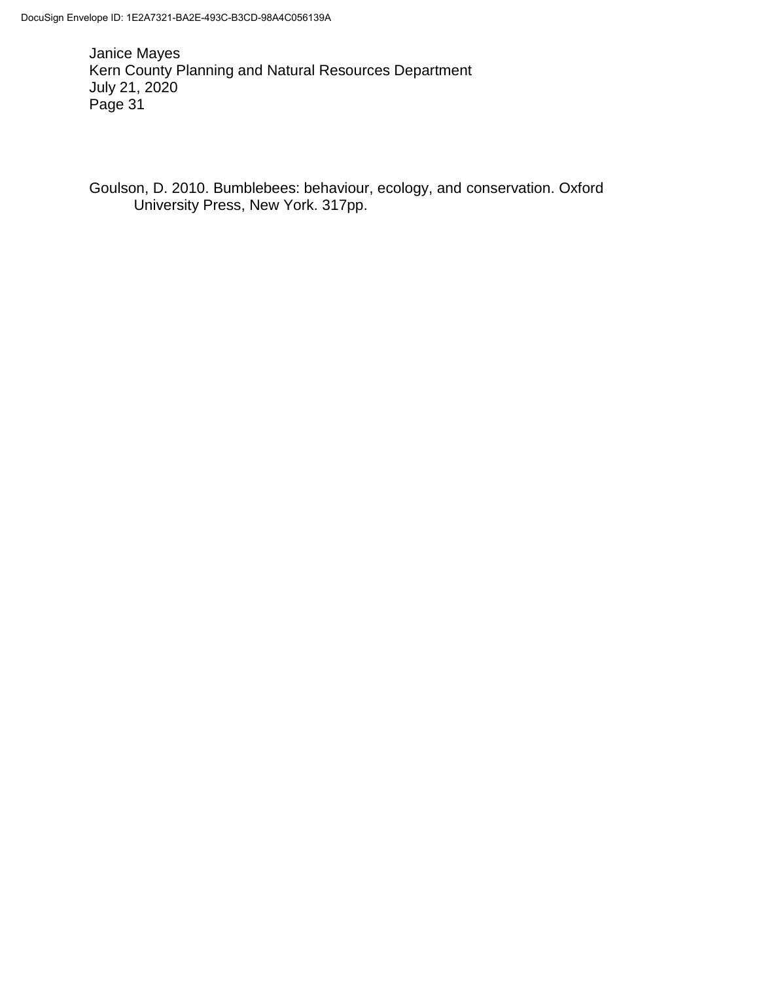Goulson, D. 2010. Bumblebees: behaviour, ecology, and conservation. Oxford University Press, New York. 317pp.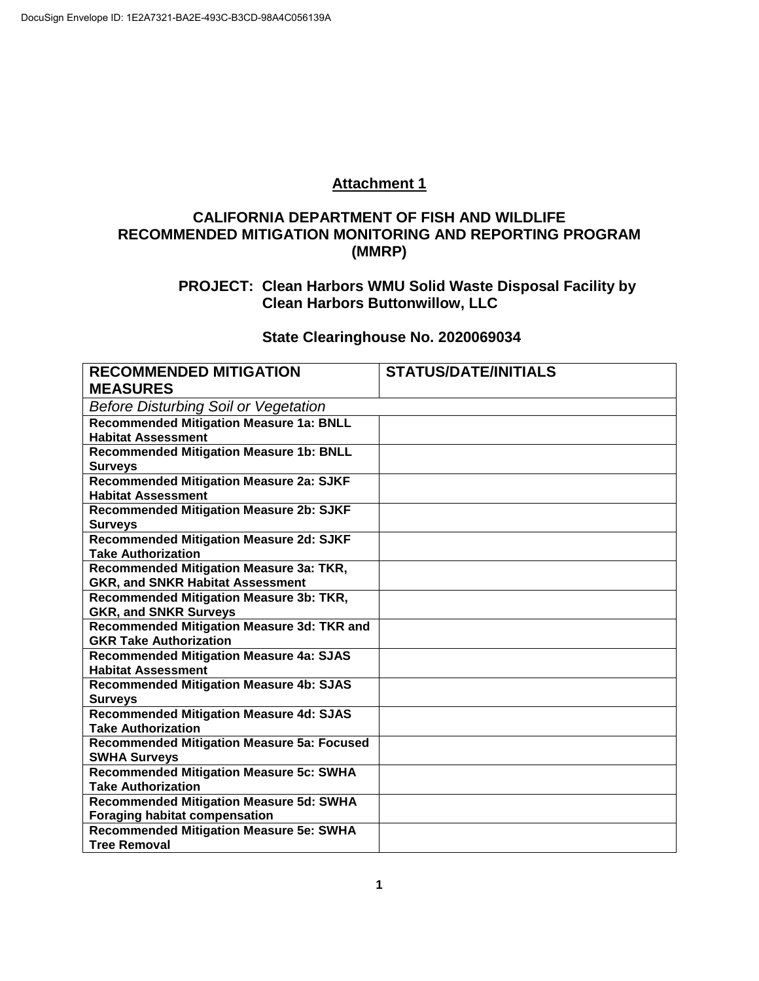### **Attachment 1**

### **CALIFORNIA DEPARTMENT OF FISH AND WILDLIFE RECOMMENDED MITIGATION MONITORING AND REPORTING PROGRAM (MMRP)**

### **PROJECT: Clean Harbors WMU Solid Waste Disposal Facility by Clean Harbors Buttonwillow, LLC**

# **State Clearinghouse No. 2020069034**

| <b>RECOMMENDED MITIGATION</b>                     | <b>STATUS/DATE/INITIALS</b> |  |  |
|---------------------------------------------------|-----------------------------|--|--|
| <b>MEASURES</b>                                   |                             |  |  |
| <b>Before Disturbing Soil or Vegetation</b>       |                             |  |  |
| <b>Recommended Mitigation Measure 1a: BNLL</b>    |                             |  |  |
| <b>Habitat Assessment</b>                         |                             |  |  |
| <b>Recommended Mitigation Measure 1b: BNLL</b>    |                             |  |  |
| <b>Surveys</b>                                    |                             |  |  |
| <b>Recommended Mitigation Measure 2a: SJKF</b>    |                             |  |  |
| <b>Habitat Assessment</b>                         |                             |  |  |
| <b>Recommended Mitigation Measure 2b: SJKF</b>    |                             |  |  |
| <b>Surveys</b>                                    |                             |  |  |
| <b>Recommended Mitigation Measure 2d: SJKF</b>    |                             |  |  |
| <b>Take Authorization</b>                         |                             |  |  |
| Recommended Mitigation Measure 3a: TKR,           |                             |  |  |
| <b>GKR, and SNKR Habitat Assessment</b>           |                             |  |  |
| Recommended Mitigation Measure 3b: TKR,           |                             |  |  |
| <b>GKR, and SNKR Surveys</b>                      |                             |  |  |
| Recommended Mitigation Measure 3d: TKR and        |                             |  |  |
| <b>GKR Take Authorization</b>                     |                             |  |  |
| <b>Recommended Mitigation Measure 4a: SJAS</b>    |                             |  |  |
| <b>Habitat Assessment</b>                         |                             |  |  |
| <b>Recommended Mitigation Measure 4b: SJAS</b>    |                             |  |  |
| <b>Surveys</b>                                    |                             |  |  |
| <b>Recommended Mitigation Measure 4d: SJAS</b>    |                             |  |  |
| <b>Take Authorization</b>                         |                             |  |  |
| <b>Recommended Mitigation Measure 5a: Focused</b> |                             |  |  |
| <b>SWHA Surveys</b>                               |                             |  |  |
| <b>Recommended Mitigation Measure 5c: SWHA</b>    |                             |  |  |
| <b>Take Authorization</b>                         |                             |  |  |
| <b>Recommended Mitigation Measure 5d: SWHA</b>    |                             |  |  |
| <b>Foraging habitat compensation</b>              |                             |  |  |
| <b>Recommended Mitigation Measure 5e: SWHA</b>    |                             |  |  |
| <b>Tree Removal</b>                               |                             |  |  |